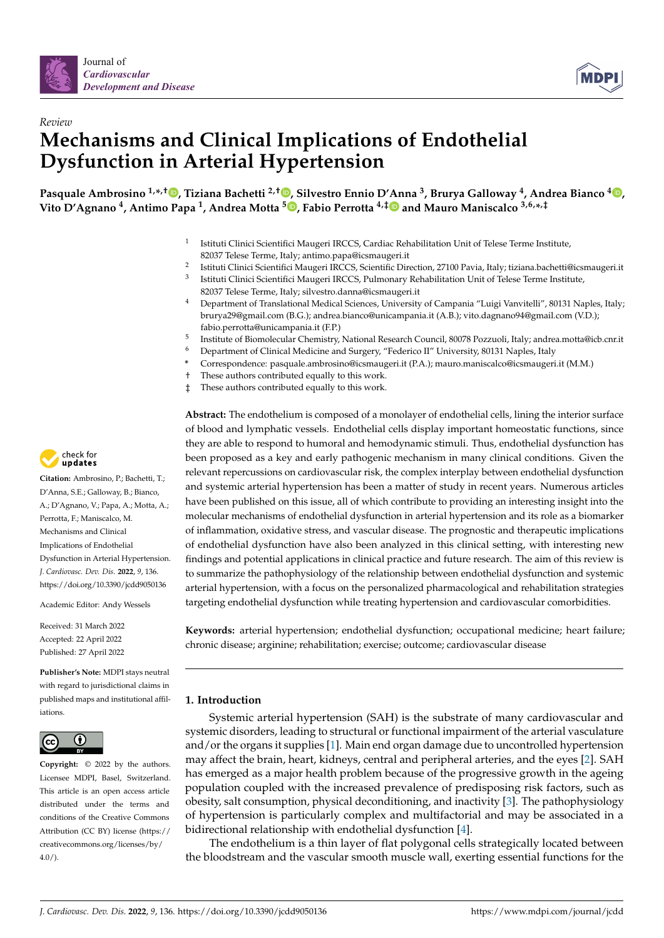



# *Review* **Mechanisms and Clinical Implications of Endothelial Dysfunction in Arterial Hypertension**

**Pasquale Ambrosino 1,\* ,† [,](https://orcid.org/0000-0002-9398-0428) Tiziana Bachetti 2,† [,](https://orcid.org/0000-0003-1612-5329) Silvestro Ennio D'Anna <sup>3</sup> , Brurya Galloway <sup>4</sup> , Andrea Bianco <sup>4</sup> [,](https://orcid.org/0000-0002-4692-5901) Vito D'Agnano <sup>4</sup> , Antimo Papa <sup>1</sup> , Andrea Motta [5](https://orcid.org/0000-0002-8643-658X) , Fabio Perrotta 4,[‡](https://orcid.org/0000-0002-7223-7037) and Mauro Maniscalco 3,6,\* ,‡**

- 1 Istituti Clinici Scientifici Maugeri IRCCS, Cardiac Rehabilitation Unit of Telese Terme Institute, 82037 Telese Terme, Italy; antimo.papa@icsmaugeri.it
- 2 Istituti Clinici Scientifici Maugeri IRCCS, Scientific Direction, 27100 Pavia, Italy; tiziana.bachetti@icsmaugeri.it
- 3 Istituti Clinici Scientifici Maugeri IRCCS, Pulmonary Rehabilitation Unit of Telese Terme Institute, 82037 Telese Terme, Italy; silvestro.danna@icsmaugeri.it
- <sup>4</sup> Department of Translational Medical Sciences, University of Campania "Luigi Vanvitelli", 80131 Naples, Italy; brurya29@gmail.com (B.G.); andrea.bianco@unicampania.it (A.B.); vito.dagnano94@gmail.com (V.D.); fabio.perrotta@unicampania.it (F.P.)
- 5 Institute of Biomolecular Chemistry, National Research Council, 80078 Pozzuoli, Italy; andrea.motta@icb.cnr.it
- <sup>6</sup> Department of Clinical Medicine and Surgery, "Federico II" University, 80131 Naples, Italy
- **\*** Correspondence: pasquale.ambrosino@icsmaugeri.it (P.A.); mauro.maniscalco@icsmaugeri.it (M.M.)
- † These authors contributed equally to this work.
- ‡ These authors contributed equally to this work.

**Abstract:** The endothelium is composed of a monolayer of endothelial cells, lining the interior surface of blood and lymphatic vessels. Endothelial cells display important homeostatic functions, since they are able to respond to humoral and hemodynamic stimuli. Thus, endothelial dysfunction has been proposed as a key and early pathogenic mechanism in many clinical conditions. Given the relevant repercussions on cardiovascular risk, the complex interplay between endothelial dysfunction and systemic arterial hypertension has been a matter of study in recent years. Numerous articles have been published on this issue, all of which contribute to providing an interesting insight into the molecular mechanisms of endothelial dysfunction in arterial hypertension and its role as a biomarker of inflammation, oxidative stress, and vascular disease. The prognostic and therapeutic implications of endothelial dysfunction have also been analyzed in this clinical setting, with interesting new findings and potential applications in clinical practice and future research. The aim of this review is to summarize the pathophysiology of the relationship between endothelial dysfunction and systemic arterial hypertension, with a focus on the personalized pharmacological and rehabilitation strategies targeting endothelial dysfunction while treating hypertension and cardiovascular comorbidities.

**Keywords:** arterial hypertension; endothelial dysfunction; occupational medicine; heart failure; chronic disease; arginine; rehabilitation; exercise; outcome; cardiovascular disease

# **1. Introduction**

Systemic arterial hypertension (SAH) is the substrate of many cardiovascular and systemic disorders, leading to structural or functional impairment of the arterial vasculature and/or the organs it supplies [\[1\]](#page-11-0). Main end organ damage due to uncontrolled hypertension may affect the brain, heart, kidneys, central and peripheral arteries, and the eyes [\[2\]](#page-11-1). SAH has emerged as a major health problem because of the progressive growth in the ageing population coupled with the increased prevalence of predisposing risk factors, such as obesity, salt consumption, physical deconditioning, and inactivity [\[3\]](#page-11-2). The pathophysiology of hypertension is particularly complex and multifactorial and may be associated in a bidirectional relationship with endothelial dysfunction [\[4\]](#page-11-3).

The endothelium is a thin layer of flat polygonal cells strategically located between the bloodstream and the vascular smooth muscle wall, exerting essential functions for the



**Citation:** Ambrosino, P.; Bachetti, T.; D'Anna, S.E.; Galloway, B.; Bianco, A.; D'Agnano, V.; Papa, A.; Motta, A.; Perrotta, F.; Maniscalco, M. Mechanisms and Clinical Implications of Endothelial Dysfunction in Arterial Hypertension. *J. Cardiovasc. Dev. Dis.* **2022**, *9*, 136. <https://doi.org/10.3390/jcdd9050136>

Academic Editor: Andy Wessels

Received: 31 March 2022 Accepted: 22 April 2022 Published: 27 April 2022

**Publisher's Note:** MDPI stays neutral with regard to jurisdictional claims in published maps and institutional affiliations.



**Copyright:** © 2022 by the authors. Licensee MDPI, Basel, Switzerland. This article is an open access article distributed under the terms and conditions of the Creative Commons Attribution (CC BY) license [\(https://](https://creativecommons.org/licenses/by/4.0/) [creativecommons.org/licenses/by/](https://creativecommons.org/licenses/by/4.0/)  $4.0/$ ).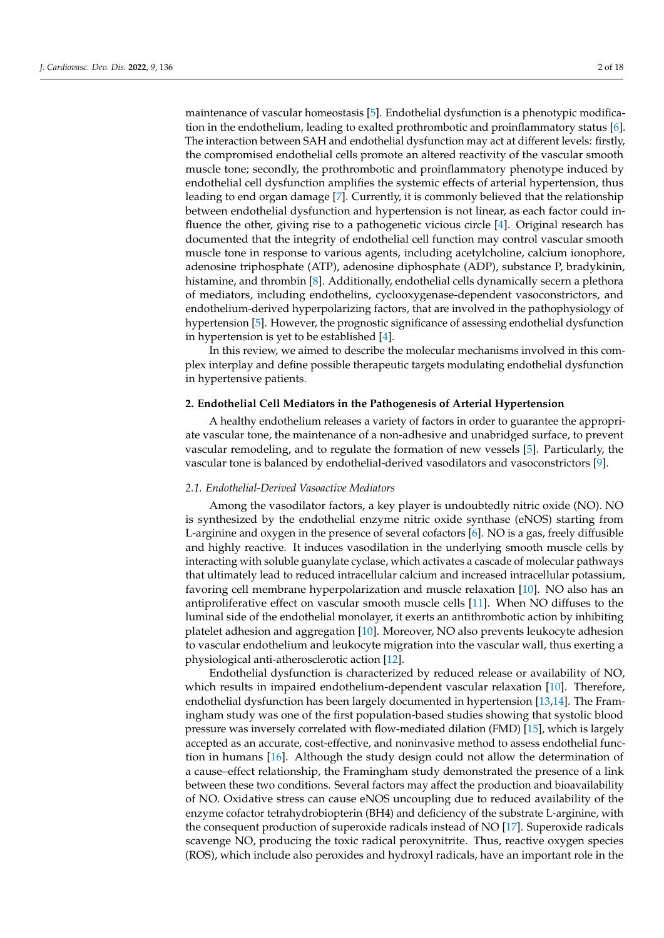maintenance of vascular homeostasis [\[5\]](#page-11-4). Endothelial dysfunction is a phenotypic modification in the endothelium, leading to exalted prothrombotic and proinflammatory status [\[6\]](#page-11-5). The interaction between SAH and endothelial dysfunction may act at different levels: firstly, the compromised endothelial cells promote an altered reactivity of the vascular smooth muscle tone; secondly, the prothrombotic and proinflammatory phenotype induced by endothelial cell dysfunction amplifies the systemic effects of arterial hypertension, thus leading to end organ damage [\[7\]](#page-11-6). Currently, it is commonly believed that the relationship between endothelial dysfunction and hypertension is not linear, as each factor could influence the other, giving rise to a pathogenetic vicious circle [\[4\]](#page-11-3). Original research has documented that the integrity of endothelial cell function may control vascular smooth muscle tone in response to various agents, including acetylcholine, calcium ionophore, adenosine triphosphate (ATP), adenosine diphosphate (ADP), substance P, bradykinin, histamine, and thrombin [\[8\]](#page-11-7). Additionally, endothelial cells dynamically secern a plethora of mediators, including endothelins, cyclooxygenase-dependent vasoconstrictors, and endothelium-derived hyperpolarizing factors, that are involved in the pathophysiology of hypertension [\[5\]](#page-11-4). However, the prognostic significance of assessing endothelial dysfunction in hypertension is yet to be established [\[4\]](#page-11-3).

In this review, we aimed to describe the molecular mechanisms involved in this complex interplay and define possible therapeutic targets modulating endothelial dysfunction in hypertensive patients.

#### **2. Endothelial Cell Mediators in the Pathogenesis of Arterial Hypertension**

A healthy endothelium releases a variety of factors in order to guarantee the appropriate vascular tone, the maintenance of a non-adhesive and unabridged surface, to prevent vascular remodeling, and to regulate the formation of new vessels [\[5\]](#page-11-4). Particularly, the vascular tone is balanced by endothelial-derived vasodilators and vasoconstrictors [\[9\]](#page-11-8).

#### *2.1. Endothelial-Derived Vasoactive Mediators*

Among the vasodilator factors, a key player is undoubtedly nitric oxide (NO). NO is synthesized by the endothelial enzyme nitric oxide synthase (eNOS) starting from L-arginine and oxygen in the presence of several cofactors [\[6\]](#page-11-5). NO is a gas, freely diffusible and highly reactive. It induces vasodilation in the underlying smooth muscle cells by interacting with soluble guanylate cyclase, which activates a cascade of molecular pathways that ultimately lead to reduced intracellular calcium and increased intracellular potassium, favoring cell membrane hyperpolarization and muscle relaxation [\[10\]](#page-11-9). NO also has an antiproliferative effect on vascular smooth muscle cells [\[11\]](#page-11-10). When NO diffuses to the luminal side of the endothelial monolayer, it exerts an antithrombotic action by inhibiting platelet adhesion and aggregation [\[10\]](#page-11-9). Moreover, NO also prevents leukocyte adhesion to vascular endothelium and leukocyte migration into the vascular wall, thus exerting a physiological anti-atherosclerotic action [\[12\]](#page-11-11).

Endothelial dysfunction is characterized by reduced release or availability of NO, which results in impaired endothelium-dependent vascular relaxation [\[10\]](#page-11-9). Therefore, endothelial dysfunction has been largely documented in hypertension [\[13](#page-11-12)[,14\]](#page-11-13). The Framingham study was one of the first population-based studies showing that systolic blood pressure was inversely correlated with flow-mediated dilation (FMD) [\[15\]](#page-11-14), which is largely accepted as an accurate, cost-effective, and noninvasive method to assess endothelial function in humans [\[16\]](#page-11-15). Although the study design could not allow the determination of a cause–effect relationship, the Framingham study demonstrated the presence of a link between these two conditions. Several factors may affect the production and bioavailability of NO. Oxidative stress can cause eNOS uncoupling due to reduced availability of the enzyme cofactor tetrahydrobiopterin (BH4) and deficiency of the substrate L-arginine, with the consequent production of superoxide radicals instead of NO [\[17\]](#page-11-16). Superoxide radicals scavenge NO, producing the toxic radical peroxynitrite. Thus, reactive oxygen species (ROS), which include also peroxides and hydroxyl radicals, have an important role in the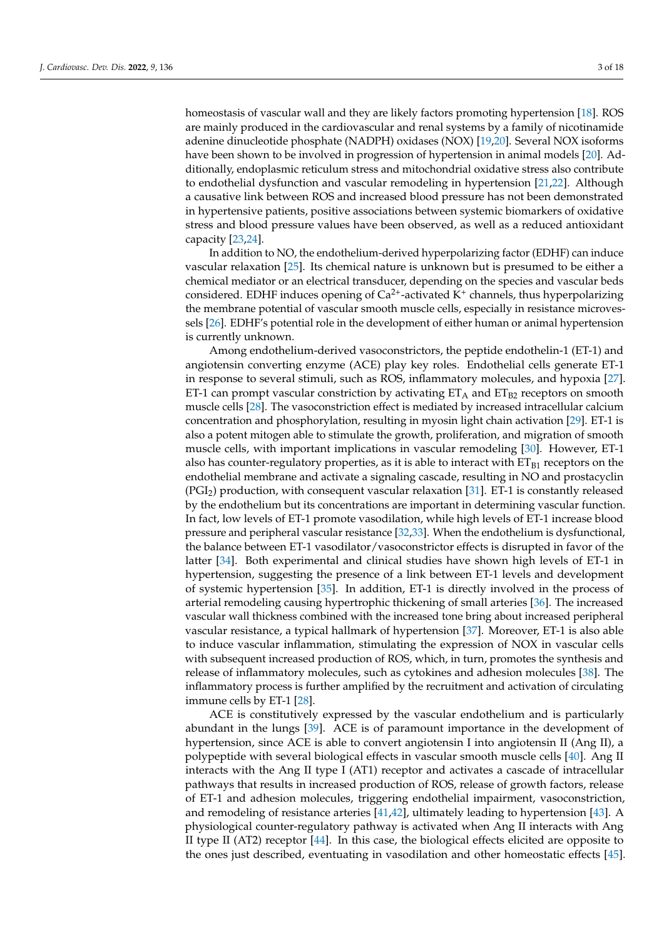homeostasis of vascular wall and they are likely factors promoting hypertension [\[18\]](#page-11-17). ROS are mainly produced in the cardiovascular and renal systems by a family of nicotinamide adenine dinucleotide phosphate (NADPH) oxidases (NOX) [\[19,](#page-11-18)[20\]](#page-11-19). Several NOX isoforms have been shown to be involved in progression of hypertension in animal models [\[20\]](#page-11-19). Additionally, endoplasmic reticulum stress and mitochondrial oxidative stress also contribute to endothelial dysfunction and vascular remodeling in hypertension [\[21,](#page-11-20)[22\]](#page-11-21). Although a causative link between ROS and increased blood pressure has not been demonstrated in hypertensive patients, positive associations between systemic biomarkers of oxidative stress and blood pressure values have been observed, as well as a reduced antioxidant capacity [\[23,](#page-11-22)[24\]](#page-11-23).

In addition to NO, the endothelium-derived hyperpolarizing factor (EDHF) can induce vascular relaxation [\[25\]](#page-11-24). Its chemical nature is unknown but is presumed to be either a chemical mediator or an electrical transducer, depending on the species and vascular beds considered. EDHF induces opening of  $Ca^{2+}$ -activated K<sup>+</sup> channels, thus hyperpolarizing the membrane potential of vascular smooth muscle cells, especially in resistance microvessels [\[26\]](#page-11-25). EDHF's potential role in the development of either human or animal hypertension is currently unknown.

Among endothelium-derived vasoconstrictors, the peptide endothelin-1 (ET-1) and angiotensin converting enzyme (ACE) play key roles. Endothelial cells generate ET-1 in response to several stimuli, such as ROS, inflammatory molecules, and hypoxia [\[27\]](#page-11-26). ET-1 can prompt vascular constriction by activating  $ET_A$  and  $ET_{B2}$  receptors on smooth muscle cells [\[28\]](#page-11-27). The vasoconstriction effect is mediated by increased intracellular calcium concentration and phosphorylation, resulting in myosin light chain activation [\[29\]](#page-11-28). ET-1 is also a potent mitogen able to stimulate the growth, proliferation, and migration of smooth muscle cells, with important implications in vascular remodeling [\[30\]](#page-12-0). However, ET-1 also has counter-regulatory properties, as it is able to interact with  $ET_{B1}$  receptors on the endothelial membrane and activate a signaling cascade, resulting in NO and prostacyclin (PGI2) production, with consequent vascular relaxation [\[31\]](#page-12-1). ET-1 is constantly released by the endothelium but its concentrations are important in determining vascular function. In fact, low levels of ET-1 promote vasodilation, while high levels of ET-1 increase blood pressure and peripheral vascular resistance [\[32,](#page-12-2)[33\]](#page-12-3). When the endothelium is dysfunctional, the balance between ET-1 vasodilator/vasoconstrictor effects is disrupted in favor of the latter [\[34\]](#page-12-4). Both experimental and clinical studies have shown high levels of ET-1 in hypertension, suggesting the presence of a link between ET-1 levels and development of systemic hypertension [\[35\]](#page-12-5). In addition, ET-1 is directly involved in the process of arterial remodeling causing hypertrophic thickening of small arteries [\[36\]](#page-12-6). The increased vascular wall thickness combined with the increased tone bring about increased peripheral vascular resistance, a typical hallmark of hypertension [\[37\]](#page-12-7). Moreover, ET-1 is also able to induce vascular inflammation, stimulating the expression of NOX in vascular cells with subsequent increased production of ROS, which, in turn, promotes the synthesis and release of inflammatory molecules, such as cytokines and adhesion molecules [\[38\]](#page-12-8). The inflammatory process is further amplified by the recruitment and activation of circulating immune cells by ET-1 [\[28\]](#page-11-27).

ACE is constitutively expressed by the vascular endothelium and is particularly abundant in the lungs [\[39\]](#page-12-9). ACE is of paramount importance in the development of hypertension, since ACE is able to convert angiotensin I into angiotensin II (Ang II), a polypeptide with several biological effects in vascular smooth muscle cells [\[40\]](#page-12-10). Ang II interacts with the Ang II type I (AT1) receptor and activates a cascade of intracellular pathways that results in increased production of ROS, release of growth factors, release of ET-1 and adhesion molecules, triggering endothelial impairment, vasoconstriction, and remodeling of resistance arteries [\[41,](#page-12-11)[42\]](#page-12-12), ultimately leading to hypertension [\[43\]](#page-12-13). A physiological counter-regulatory pathway is activated when Ang II interacts with Ang II type II (AT2) receptor [\[44\]](#page-12-14). In this case, the biological effects elicited are opposite to the ones just described, eventuating in vasodilation and other homeostatic effects [\[45\]](#page-12-15).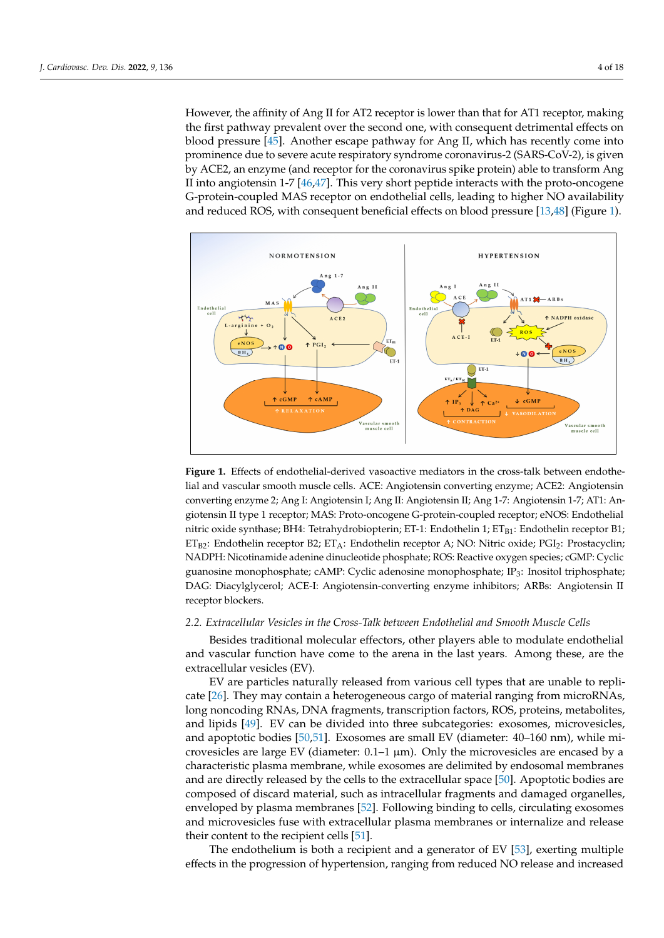However, the affinity of Ang II for AT2 receptor is lower than that for AT1 receptor, making the first pathway prevalent over the second one, with consequent detrimental effects on blood pressure  $[45]$ . Another escape pathway for Ang II, which has recently come into prominence due to severe acute respiratory syndrome coronavirus-2 (SARS-CoV-2), is given by ACE2, an enzyme (and receptor for the coronavirus spike protein) able to transform Ang II into angiotensin 1-7 [\[46,](#page-12-16)[47\]](#page-12-17). This very short peptide interacts with the proto-oncogene G-protein-coupled MAS receptor on endothelial cells, leading to higher NO availability and reduced ROS, with consequent beneficial effects on blood pressure  $[13,48]$  $[13,48]$  (Figure [1\)](#page-3-0). iological counter-regulatory pathway is activated when Ang II interacts with Ang II type  $\text{vec}$  and  $\text{cos}$  and  $\text{sin}$  and  $\text{cos}$  and  $\text{cos}$  and  $\text{cos}$   $\text{cos}$   $\text{cos}$   $\text{cos}$   $\text{cos}$ an consequent beneficial effects on blood pressure  $[13,40]$  (Figure 1).

of ET-1 and adhesion molecules, triggering endothelial impairment, vasoconstriction, and

<span id="page-3-0"></span>

**Figure 1.** Effects of endothelial-derived vasoactive mediators in the cross-talk between endothelial and vascular smooth muscle cells. ACE: Angiotensin converting enzyme; ACE2: Angiotensin  $t_{\text{R}}$  and  $\lambda$  receptors;  $\mu$  and  $\mu$  and  $\mu$  and  $\mu$  and  $\mu$  nitrical nutries on  $\mu$  and  $\mu$  nitrical nitrical nutries of  $\mu$  and  $\mu$  and  $\mu$  and  $\mu$  and  $\mu$  and  $\mu$  and  $\mu$  and  $\mu$  and  $\mu$  and  $\mu$  a converting enzyme 2; Ang I: Angiotensin I; Ang II: Angiotensin II; Ang 1-7: Angiotensin 1-7; AT1: Angiotensin II type 1 receptor; MAS: Proto-oncogene G-protein-coupled receptor; eNOS: Endothelial  $n_H$ . Tetrahydrobionterin: FT-1: Endothelin 1:  $FT_{\text{net}}$ : Endothelin receptor  $R1$ : sine monophosphate; cAMP: cyclic adenosine monophosphate; IP3: inositol triphosphate; DAG: di-nitric oxide synthase; BH4: Tetrahydrobiopterin; ET-1: Endothelin 1; ETB1: Endothelin receptor B1;  $ET_{B2}:$  Endothelin receptor B2; ET<sub>A</sub>: Endothelin receptor A; NO: Nitric oxide; PGI<sub>2</sub>: Prostacyclin; NADPH: Nicotinamide adenine dinucleotide phosphate; ROS: Reactive oxygen species; cGMP: Cyclic *2.2. Extracellular Vesicles in the Cross-Talk between Endothelial and Smooth Muscle Cells*  guanosine monophosphate; cAMP: Cyclic adenosine monophosphate; IP<sup>3</sup> : Inositol triphosphate; DAG: Diacylglycerol; ACE-I: Angiotensin-converting enzyme inhibitors; ARBs: Angiotensin II receptor blockers.

#### tracellular vesicles (EV). 2.2. Extracellular Vesicles in the Cross-Talk between Endothelial and Smooth Muscle Cells

Besides traditional molecular effectors, other players able to modulate endothelial and vascular function have come to the arena in the last years. Among these, are the extracellular vesicles (EV).

EV are particles naturally released from various cell types that are unable to replicate [\[26\]](#page-11-25). They may contain a heterogeneous cargo of material ranging from microRNAs, long noncoding RNAs, DNA fragments, transcription factors, ROS, proteins, metabolites, and lipids [\[49\]](#page-12-19). EV can be divided into three subcategories: exosomes, microvesicles, and apoptotic bodies [\[50,](#page-12-20)[51\]](#page-12-21). Exosomes are small EV (diameter: 40–160 nm), while microvesicles are large EV (diameter:  $0.1-1 \mu m$ ). Only the microvesicles are encased by a characteristic plasma membrane, while exosomes are delimited by endosomal membranes and are directly released by the cells to the extracellular space [\[50\]](#page-12-20). Apoptotic bodies are composed of discard material, such as intracellular fragments and damaged organelles, enveloped by plasma membranes [\[52\]](#page-12-22). Following binding to cells, circulating exosomes and microvesicles fuse with extracellular plasma membranes or internalize and release their content to the recipient cells [\[51\]](#page-12-21).

The endothelium is both a recipient and a generator of EV [\[53\]](#page-12-23), exerting multiple effects in the progression of hypertension, ranging from reduced NO release and increased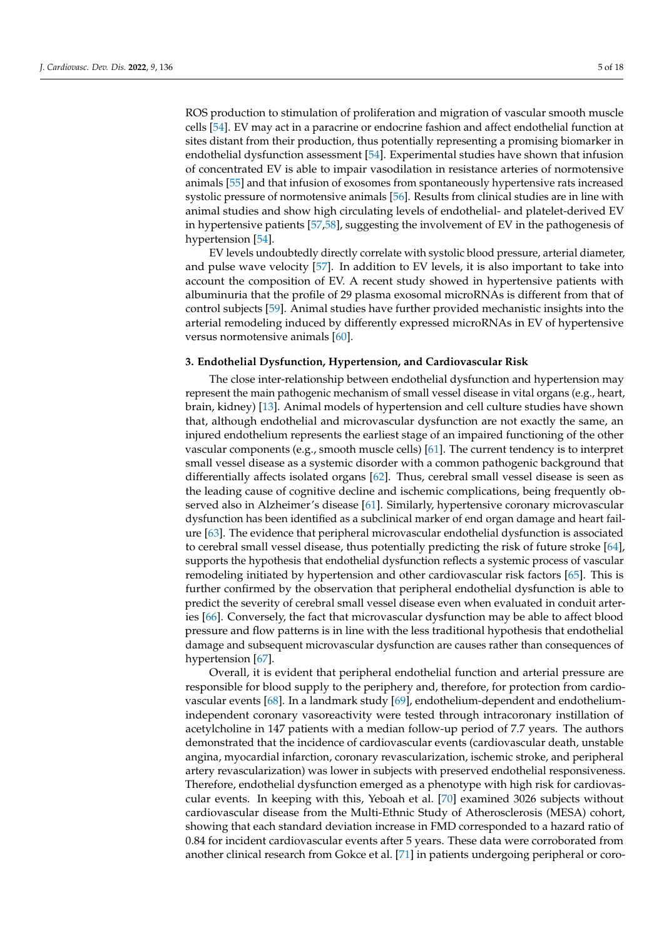ROS production to stimulation of proliferation and migration of vascular smooth muscle cells [\[54\]](#page-12-24). EV may act in a paracrine or endocrine fashion and affect endothelial function at sites distant from their production, thus potentially representing a promising biomarker in endothelial dysfunction assessment [\[54\]](#page-12-24). Experimental studies have shown that infusion of concentrated EV is able to impair vasodilation in resistance arteries of normotensive animals [\[55\]](#page-12-25) and that infusion of exosomes from spontaneously hypertensive rats increased systolic pressure of normotensive animals [\[56\]](#page-12-26). Results from clinical studies are in line with animal studies and show high circulating levels of endothelial- and platelet-derived EV in hypertensive patients [\[57](#page-12-27)[,58\]](#page-12-28), suggesting the involvement of EV in the pathogenesis of hypertension [\[54\]](#page-12-24).

EV levels undoubtedly directly correlate with systolic blood pressure, arterial diameter, and pulse wave velocity [\[57\]](#page-12-27). In addition to EV levels, it is also important to take into account the composition of EV. A recent study showed in hypertensive patients with albuminuria that the profile of 29 plasma exosomal microRNAs is different from that of control subjects [\[59\]](#page-12-29). Animal studies have further provided mechanistic insights into the arterial remodeling induced by differently expressed microRNAs in EV of hypertensive versus normotensive animals [\[60\]](#page-12-30).

#### **3. Endothelial Dysfunction, Hypertension, and Cardiovascular Risk**

The close inter-relationship between endothelial dysfunction and hypertension may represent the main pathogenic mechanism of small vessel disease in vital organs (e.g., heart, brain, kidney) [\[13\]](#page-11-12). Animal models of hypertension and cell culture studies have shown that, although endothelial and microvascular dysfunction are not exactly the same, an injured endothelium represents the earliest stage of an impaired functioning of the other vascular components (e.g., smooth muscle cells) [\[61\]](#page-13-0). The current tendency is to interpret small vessel disease as a systemic disorder with a common pathogenic background that differentially affects isolated organs [\[62\]](#page-13-1). Thus, cerebral small vessel disease is seen as the leading cause of cognitive decline and ischemic complications, being frequently observed also in Alzheimer's disease [\[61\]](#page-13-0). Similarly, hypertensive coronary microvascular dysfunction has been identified as a subclinical marker of end organ damage and heart failure [\[63\]](#page-13-2). The evidence that peripheral microvascular endothelial dysfunction is associated to cerebral small vessel disease, thus potentially predicting the risk of future stroke [\[64\]](#page-13-3), supports the hypothesis that endothelial dysfunction reflects a systemic process of vascular remodeling initiated by hypertension and other cardiovascular risk factors [\[65\]](#page-13-4). This is further confirmed by the observation that peripheral endothelial dysfunction is able to predict the severity of cerebral small vessel disease even when evaluated in conduit arteries [\[66\]](#page-13-5). Conversely, the fact that microvascular dysfunction may be able to affect blood pressure and flow patterns is in line with the less traditional hypothesis that endothelial damage and subsequent microvascular dysfunction are causes rather than consequences of hypertension [\[67\]](#page-13-6).

Overall, it is evident that peripheral endothelial function and arterial pressure are responsible for blood supply to the periphery and, therefore, for protection from cardiovascular events [\[68\]](#page-13-7). In a landmark study [\[69\]](#page-13-8), endothelium-dependent and endotheliumindependent coronary vasoreactivity were tested through intracoronary instillation of acetylcholine in 147 patients with a median follow-up period of 7.7 years. The authors demonstrated that the incidence of cardiovascular events (cardiovascular death, unstable angina, myocardial infarction, coronary revascularization, ischemic stroke, and peripheral artery revascularization) was lower in subjects with preserved endothelial responsiveness. Therefore, endothelial dysfunction emerged as a phenotype with high risk for cardiovascular events. In keeping with this, Yeboah et al. [\[70\]](#page-13-9) examined 3026 subjects without cardiovascular disease from the Multi-Ethnic Study of Atherosclerosis (MESA) cohort, showing that each standard deviation increase in FMD corresponded to a hazard ratio of 0.84 for incident cardiovascular events after 5 years. These data were corroborated from another clinical research from Gokce et al. [\[71\]](#page-13-10) in patients undergoing peripheral or coro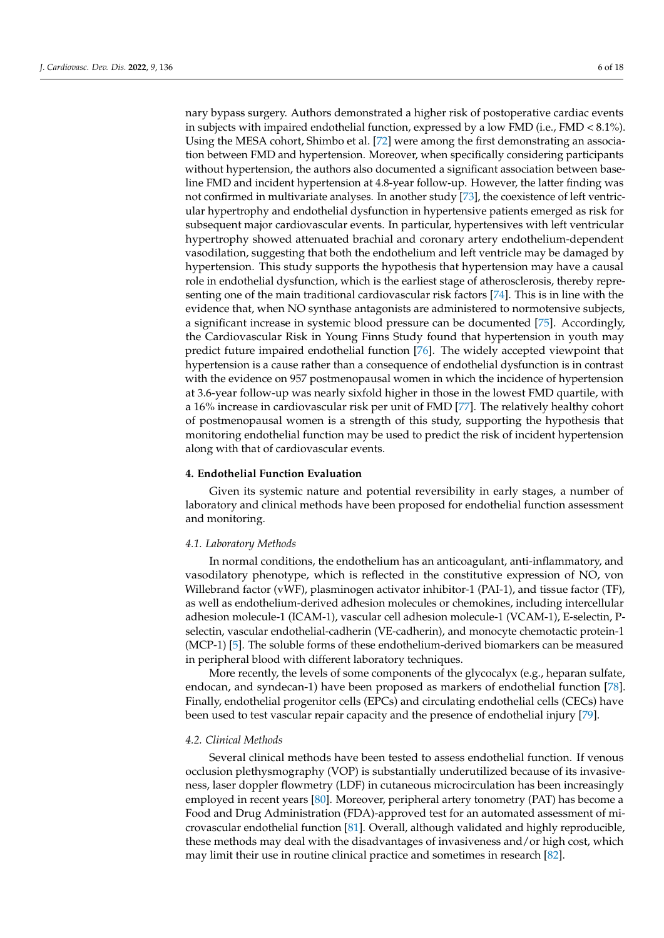nary bypass surgery. Authors demonstrated a higher risk of postoperative cardiac events in subjects with impaired endothelial function, expressed by a low FMD (i.e., FMD < 8.1%). Using the MESA cohort, Shimbo et al. [\[72\]](#page-13-11) were among the first demonstrating an association between FMD and hypertension. Moreover, when specifically considering participants without hypertension, the authors also documented a significant association between baseline FMD and incident hypertension at 4.8-year follow-up. However, the latter finding was not confirmed in multivariate analyses. In another study [\[73\]](#page-13-12), the coexistence of left ventricular hypertrophy and endothelial dysfunction in hypertensive patients emerged as risk for subsequent major cardiovascular events. In particular, hypertensives with left ventricular hypertrophy showed attenuated brachial and coronary artery endothelium-dependent vasodilation, suggesting that both the endothelium and left ventricle may be damaged by hypertension. This study supports the hypothesis that hypertension may have a causal role in endothelial dysfunction, which is the earliest stage of atherosclerosis, thereby representing one of the main traditional cardiovascular risk factors [\[74\]](#page-13-13). This is in line with the evidence that, when NO synthase antagonists are administered to normotensive subjects, a significant increase in systemic blood pressure can be documented [\[75\]](#page-13-14). Accordingly, the Cardiovascular Risk in Young Finns Study found that hypertension in youth may predict future impaired endothelial function [\[76\]](#page-13-15). The widely accepted viewpoint that hypertension is a cause rather than a consequence of endothelial dysfunction is in contrast with the evidence on 957 postmenopausal women in which the incidence of hypertension at 3.6-year follow-up was nearly sixfold higher in those in the lowest FMD quartile, with a 16% increase in cardiovascular risk per unit of FMD [\[77\]](#page-13-16). The relatively healthy cohort of postmenopausal women is a strength of this study, supporting the hypothesis that monitoring endothelial function may be used to predict the risk of incident hypertension along with that of cardiovascular events.

#### **4. Endothelial Function Evaluation**

Given its systemic nature and potential reversibility in early stages, a number of laboratory and clinical methods have been proposed for endothelial function assessment and monitoring.

#### *4.1. Laboratory Methods*

In normal conditions, the endothelium has an anticoagulant, anti-inflammatory, and vasodilatory phenotype, which is reflected in the constitutive expression of NO, von Willebrand factor (vWF), plasminogen activator inhibitor-1 (PAI-1), and tissue factor (TF), as well as endothelium-derived adhesion molecules or chemokines, including intercellular adhesion molecule-1 (ICAM-1), vascular cell adhesion molecule-1 (VCAM-1), E-selectin, Pselectin, vascular endothelial-cadherin (VE-cadherin), and monocyte chemotactic protein-1 (MCP-1) [\[5\]](#page-11-4). The soluble forms of these endothelium-derived biomarkers can be measured in peripheral blood with different laboratory techniques.

More recently, the levels of some components of the glycocalyx (e.g., heparan sulfate, endocan, and syndecan-1) have been proposed as markers of endothelial function [\[78\]](#page-13-17). Finally, endothelial progenitor cells (EPCs) and circulating endothelial cells (CECs) have been used to test vascular repair capacity and the presence of endothelial injury [\[79\]](#page-13-18).

# *4.2. Clinical Methods*

Several clinical methods have been tested to assess endothelial function. If venous occlusion plethysmography (VOP) is substantially underutilized because of its invasiveness, laser doppler flowmetry (LDF) in cutaneous microcirculation has been increasingly employed in recent years [\[80\]](#page-13-19). Moreover, peripheral artery tonometry (PAT) has become a Food and Drug Administration (FDA)-approved test for an automated assessment of microvascular endothelial function [\[81\]](#page-13-20). Overall, although validated and highly reproducible, these methods may deal with the disadvantages of invasiveness and/or high cost, which may limit their use in routine clinical practice and sometimes in research [\[82\]](#page-13-21).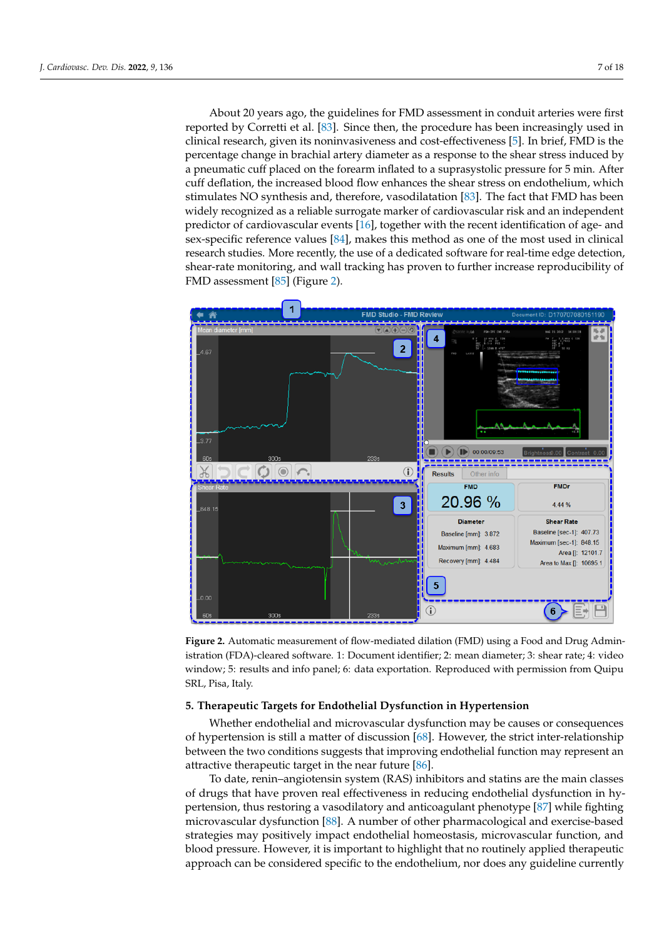About 20 years ago, the guidelines for FMD assessment in conduit arteries were first About 20 years ago, the guidelines for FMD assessment in conduit arteries were first reported by Corretti et al. [\[83\]](#page-13-22). Since then, the procedure has been increasingly used in reported by Corretti et al. [83]. Since then, the procedure has been increasingly used in clinical research, given its noninvasiveness and cost-effectiveness [\[5\]](#page-11-4). In brief, FMD is the clinical research, given its noninvasiveness and cost-effectiveness [5]. In brief, FMD is the percentage change in brachial artery diameter as a response to the shear stress induced by percentage change in brachial artery diameter as a response to the shear stress induced by a pneumatic cuff placed on the forearm inflated to a suprasystolic pressure for 5 min. After a pneumatic cuff placed on the forearm inflated to a suprasystolic pressure for 5 min. After cuff deflation, the increased blood flow enhances the shear stress on endothelium, which cuff deflation, the increased blood flow enhances the shear stress on endothelium, which stimulates NO synthesis and, therefore, vasodilatation [\[83\]](#page-13-22). The fact that FMD has been stimulates NO synthesis and, therefore, vasodilatation [83]. The fact that FMD has been widely recognized as a reliable surrogate marker of cardiovascular risk and an independent predictor of cardiovascular events  $[16]$ , together with the recent identification of age- and sex-specific reference values  $[84]$ , makes this method as one of the most used in clinical research studies. More recently, the use of a dedicated software for real-time edge detection, shear-rate monitoring, and wall tracking has proven to further increase reproducibility of FMD assessment [\[85\]](#page-14-0) (Figure 2).

ible, these methods may deal with the disadvantages of invasiveness and/or high cost,

<span id="page-6-0"></span>

**Figure 2.** Automatic measurement of flow-mediated dilation (FMD) using a Food and Drug Admin-**Figure 2.** Automatic measurement of flow-mediated dilation (FMD) using a Food and Drug Administration (FDA)-cleared software. 1: Document identifier; 2: mean diameter; 3: shear rate; 4: video istration (FDA)-cleared software. 1: Document identifier; 2: mean diameter; 3: shear rate; 4: video window; 5: results and info panel; 6: data exportation. Reproduced with permission from Quipu SRL, Pisa, Italy.

#### **5. Therapeutic Targets for Endothelial Dysfunction in Hypertension**

Whether endothelial and microvascular dysfunction may be causes or consequences of hypertension is still a matter of discussion [\[68\]](#page-13-7). However, the strict inter-relationship between the two conditions suggests that improving endothelial function may represent an attractive therapeutic target in the near future [\[86\]](#page-14-1).

To date, renin–angiotensin system (RAS) inhibitors and statins are the main classes of drugs that have proven real effectiveness in reducing endothelial dysfunction in hypertension, thus restoring a vasodilatory and anticoagulant phenotype [\[87\]](#page-14-2) while fighting microvascular dysfunction [\[88\]](#page-14-3). A number of other pharmacological and exercise-based strategies may positively impact endothelial homeostasis, microvascular function, and blood pressure. However, it is important to highlight that no routinely applied therapeutic approach can be considered specific to the endothelium, nor does any guideline currently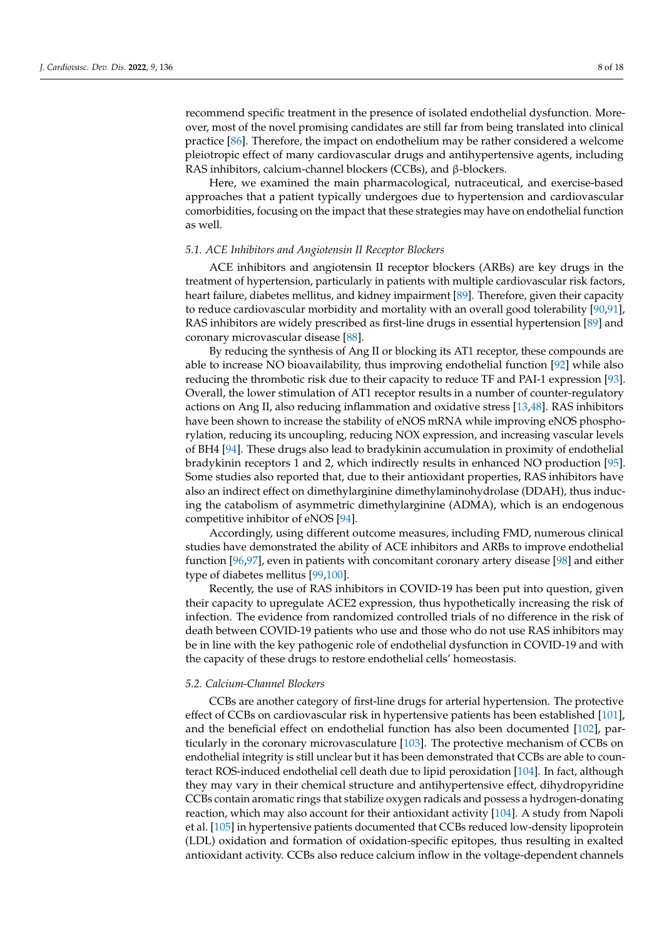recommend specific treatment in the presence of isolated endothelial dysfunction. Moreover, most of the novel promising candidates are still far from being translated into clinical practice [\[86\]](#page-14-1). Therefore, the impact on endothelium may be rather considered a welcome pleiotropic effect of many cardiovascular drugs and antihypertensive agents, including RAS inhibitors, calcium-channel blockers (CCBs), and β-blockers.

Here, we examined the main pharmacological, nutraceutical, and exercise-based approaches that a patient typically undergoes due to hypertension and cardiovascular comorbidities, focusing on the impact that these strategies may have on endothelial function as well.

# *5.1. ACE Inhibitors and Angiotensin II Receptor Blockers*

ACE inhibitors and angiotensin II receptor blockers (ARBs) are key drugs in the treatment of hypertension, particularly in patients with multiple cardiovascular risk factors, heart failure, diabetes mellitus, and kidney impairment [\[89\]](#page-14-4). Therefore, given their capacity to reduce cardiovascular morbidity and mortality with an overall good tolerability [\[90](#page-14-5)[,91\]](#page-14-6), RAS inhibitors are widely prescribed as first-line drugs in essential hypertension [\[89\]](#page-14-4) and coronary microvascular disease [\[88\]](#page-14-3).

By reducing the synthesis of Ang II or blocking its AT1 receptor, these compounds are able to increase NO bioavailability, thus improving endothelial function [\[92\]](#page-14-7) while also reducing the thrombotic risk due to their capacity to reduce TF and PAI-1 expression [\[93\]](#page-14-8). Overall, the lower stimulation of AT1 receptor results in a number of counter-regulatory actions on Ang II, also reducing inflammation and oxidative stress [\[13](#page-11-12)[,48\]](#page-12-18). RAS inhibitors have been shown to increase the stability of eNOS mRNA while improving eNOS phosphorylation, reducing its uncoupling, reducing NOX expression, and increasing vascular levels of BH4 [\[94\]](#page-14-9). These drugs also lead to bradykinin accumulation in proximity of endothelial bradykinin receptors 1 and 2, which indirectly results in enhanced NO production [\[95\]](#page-14-10). Some studies also reported that, due to their antioxidant properties, RAS inhibitors have also an indirect effect on dimethylarginine dimethylaminohydrolase (DDAH), thus inducing the catabolism of asymmetric dimethylarginine (ADMA), which is an endogenous competitive inhibitor of eNOS [\[94\]](#page-14-9).

Accordingly, using different outcome measures, including FMD, numerous clinical studies have demonstrated the ability of ACE inhibitors and ARBs to improve endothelial function [\[96](#page-14-11)[,97\]](#page-14-12), even in patients with concomitant coronary artery disease [\[98\]](#page-14-13) and either type of diabetes mellitus [\[99,](#page-14-14)[100\]](#page-14-15).

Recently, the use of RAS inhibitors in COVID-19 has been put into question, given their capacity to upregulate ACE2 expression, thus hypothetically increasing the risk of infection. The evidence from randomized controlled trials of no difference in the risk of death between COVID-19 patients who use and those who do not use RAS inhibitors may be in line with the key pathogenic role of endothelial dysfunction in COVID-19 and with the capacity of these drugs to restore endothelial cells' homeostasis.

#### *5.2. Calcium-Channel Blockers*

CCBs are another category of first-line drugs for arterial hypertension. The protective effect of CCBs on cardiovascular risk in hypertensive patients has been established [\[101\]](#page-14-16), and the beneficial effect on endothelial function has also been documented [\[102\]](#page-14-17), particularly in the coronary microvasculature [\[103\]](#page-14-18). The protective mechanism of CCBs on endothelial integrity is still unclear but it has been demonstrated that CCBs are able to counteract ROS-induced endothelial cell death due to lipid peroxidation [\[104\]](#page-14-19). In fact, although they may vary in their chemical structure and antihypertensive effect, dihydropyridine CCBs contain aromatic rings that stabilize oxygen radicals and possess a hydrogen-donating reaction, which may also account for their antioxidant activity [\[104\]](#page-14-19). A study from Napoli et al. [\[105\]](#page-14-20) in hypertensive patients documented that CCBs reduced low-density lipoprotein (LDL) oxidation and formation of oxidation-specific epitopes, thus resulting in exalted antioxidant activity. CCBs also reduce calcium inflow in the voltage-dependent channels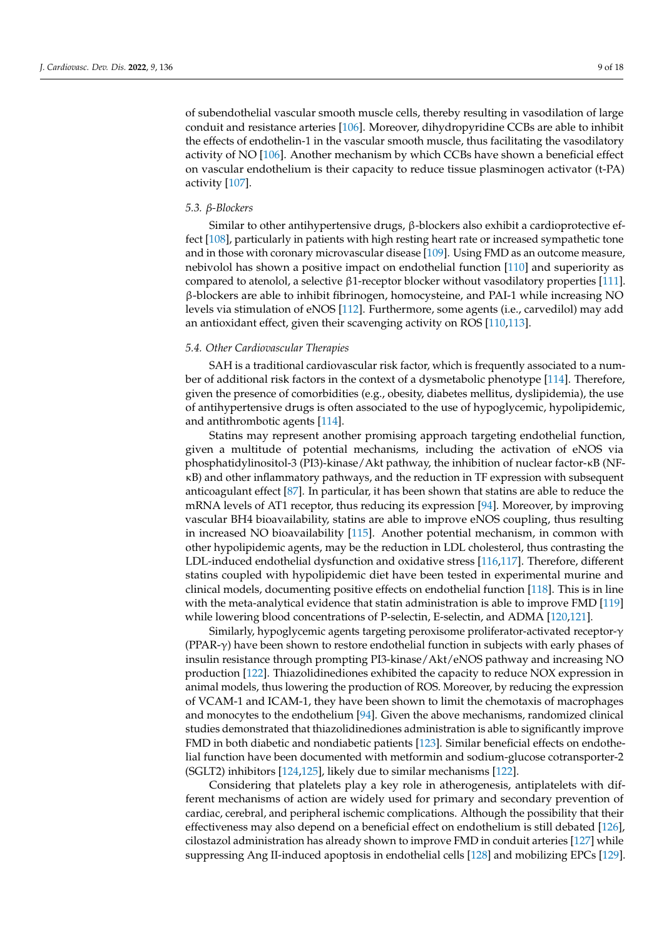of subendothelial vascular smooth muscle cells, thereby resulting in vasodilation of large conduit and resistance arteries [\[106\]](#page-14-21). Moreover, dihydropyridine CCBs are able to inhibit the effects of endothelin-1 in the vascular smooth muscle, thus facilitating the vasodilatory activity of NO [\[106\]](#page-14-21). Another mechanism by which CCBs have shown a beneficial effect on vascular endothelium is their capacity to reduce tissue plasminogen activator (t-PA) activity [\[107\]](#page-14-22).

#### *5.3. β-Blockers*

Similar to other antihypertensive drugs, β-blockers also exhibit a cardioprotective effect [\[108\]](#page-14-23), particularly in patients with high resting heart rate or increased sympathetic tone and in those with coronary microvascular disease [\[109\]](#page-15-0). Using FMD as an outcome measure, nebivolol has shown a positive impact on endothelial function [\[110\]](#page-15-1) and superiority as compared to atenolol, a selective β1-receptor blocker without vasodilatory properties [\[111\]](#page-15-2). β-blockers are able to inhibit fibrinogen, homocysteine, and PAI-1 while increasing NO levels via stimulation of eNOS [\[112\]](#page-15-3). Furthermore, some agents (i.e., carvedilol) may add an antioxidant effect, given their scavenging activity on ROS [\[110,](#page-15-1)[113\]](#page-15-4).

#### *5.4. Other Cardiovascular Therapies*

SAH is a traditional cardiovascular risk factor, which is frequently associated to a number of additional risk factors in the context of a dysmetabolic phenotype [\[114\]](#page-15-5). Therefore, given the presence of comorbidities (e.g., obesity, diabetes mellitus, dyslipidemia), the use of antihypertensive drugs is often associated to the use of hypoglycemic, hypolipidemic, and antithrombotic agents [\[114\]](#page-15-5).

Statins may represent another promising approach targeting endothelial function, given a multitude of potential mechanisms, including the activation of eNOS via phosphatidylinositol-3 (PI3)-kinase/Akt pathway, the inhibition of nuclear factor-κB (NFκB) and other inflammatory pathways, and the reduction in TF expression with subsequent anticoagulant effect [\[87\]](#page-14-2). In particular, it has been shown that statins are able to reduce the mRNA levels of AT1 receptor, thus reducing its expression [\[94\]](#page-14-9). Moreover, by improving vascular BH4 bioavailability, statins are able to improve eNOS coupling, thus resulting in increased NO bioavailability [\[115\]](#page-15-6). Another potential mechanism, in common with other hypolipidemic agents, may be the reduction in LDL cholesterol, thus contrasting the LDL-induced endothelial dysfunction and oxidative stress [\[116,](#page-15-7)[117\]](#page-15-8). Therefore, different statins coupled with hypolipidemic diet have been tested in experimental murine and clinical models, documenting positive effects on endothelial function [\[118\]](#page-15-9). This is in line with the meta-analytical evidence that statin administration is able to improve FMD [\[119\]](#page-15-10) while lowering blood concentrations of P-selectin, E-selectin, and ADMA [\[120,](#page-15-11)[121\]](#page-15-12).

Similarly, hypoglycemic agents targeting peroxisome proliferator-activated receptor-γ (PPAR-γ) have been shown to restore endothelial function in subjects with early phases of insulin resistance through prompting PI3-kinase/Akt/eNOS pathway and increasing NO production [\[122\]](#page-15-13). Thiazolidinediones exhibited the capacity to reduce NOX expression in animal models, thus lowering the production of ROS. Moreover, by reducing the expression of VCAM-1 and ICAM-1, they have been shown to limit the chemotaxis of macrophages and monocytes to the endothelium [\[94\]](#page-14-9). Given the above mechanisms, randomized clinical studies demonstrated that thiazolidinediones administration is able to significantly improve FMD in both diabetic and nondiabetic patients [\[123\]](#page-15-14). Similar beneficial effects on endothelial function have been documented with metformin and sodium-glucose cotransporter-2 (SGLT2) inhibitors [\[124](#page-15-15)[,125\]](#page-15-16), likely due to similar mechanisms [\[122\]](#page-15-13).

Considering that platelets play a key role in atherogenesis, antiplatelets with different mechanisms of action are widely used for primary and secondary prevention of cardiac, cerebral, and peripheral ischemic complications. Although the possibility that their effectiveness may also depend on a beneficial effect on endothelium is still debated [\[126\]](#page-15-17), cilostazol administration has already shown to improve FMD in conduit arteries [\[127\]](#page-15-18) while suppressing Ang II-induced apoptosis in endothelial cells [\[128\]](#page-15-19) and mobilizing EPCs [\[129\]](#page-15-20).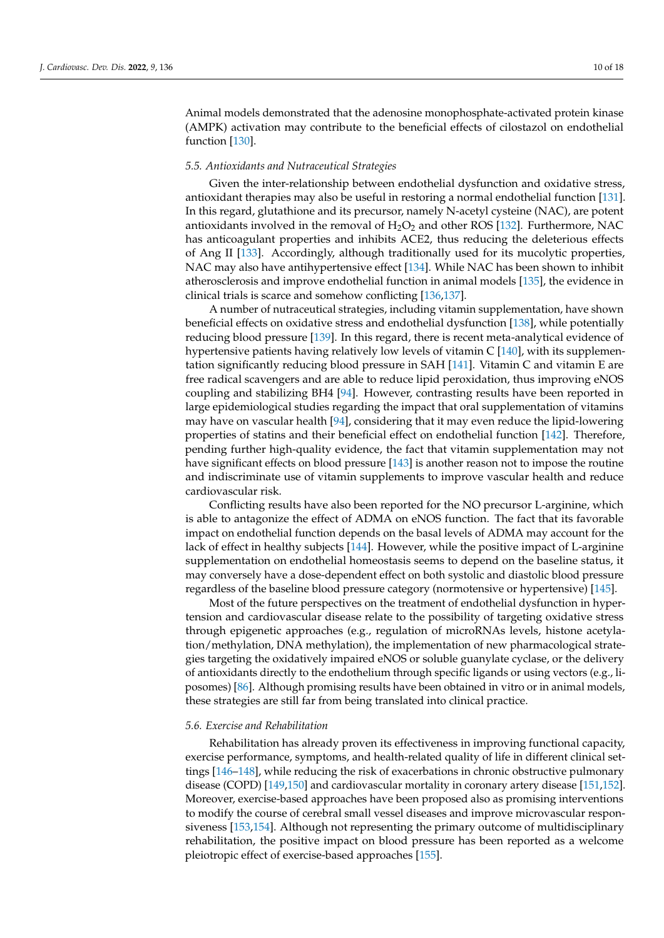Animal models demonstrated that the adenosine monophosphate-activated protein kinase (AMPK) activation may contribute to the beneficial effects of cilostazol on endothelial function [\[130\]](#page-15-21).

# *5.5. Antioxidants and Nutraceutical Strategies*

Given the inter-relationship between endothelial dysfunction and oxidative stress, antioxidant therapies may also be useful in restoring a normal endothelial function [\[131\]](#page-15-22). In this regard, glutathione and its precursor, namely N-acetyl cysteine (NAC), are potent antioxidants involved in the removal of  $H_2O_2$  and other ROS [\[132\]](#page-15-23). Furthermore, NAC has anticoagulant properties and inhibits ACE2, thus reducing the deleterious effects of Ang II [\[133\]](#page-15-24). Accordingly, although traditionally used for its mucolytic properties, NAC may also have antihypertensive effect [\[134\]](#page-15-25). While NAC has been shown to inhibit atherosclerosis and improve endothelial function in animal models [\[135\]](#page-16-0), the evidence in clinical trials is scarce and somehow conflicting [\[136](#page-16-1)[,137\]](#page-16-2).

A number of nutraceutical strategies, including vitamin supplementation, have shown beneficial effects on oxidative stress and endothelial dysfunction [\[138\]](#page-16-3), while potentially reducing blood pressure [\[139\]](#page-16-4). In this regard, there is recent meta-analytical evidence of hypertensive patients having relatively low levels of vitamin C [\[140\]](#page-16-5), with its supplementation significantly reducing blood pressure in SAH [\[141\]](#page-16-6). Vitamin C and vitamin E are free radical scavengers and are able to reduce lipid peroxidation, thus improving eNOS coupling and stabilizing BH4 [\[94\]](#page-14-9). However, contrasting results have been reported in large epidemiological studies regarding the impact that oral supplementation of vitamins may have on vascular health [\[94\]](#page-14-9), considering that it may even reduce the lipid-lowering properties of statins and their beneficial effect on endothelial function [\[142\]](#page-16-7). Therefore, pending further high-quality evidence, the fact that vitamin supplementation may not have significant effects on blood pressure [\[143\]](#page-16-8) is another reason not to impose the routine and indiscriminate use of vitamin supplements to improve vascular health and reduce cardiovascular risk.

Conflicting results have also been reported for the NO precursor L-arginine, which is able to antagonize the effect of ADMA on eNOS function. The fact that its favorable impact on endothelial function depends on the basal levels of ADMA may account for the lack of effect in healthy subjects [\[144\]](#page-16-9). However, while the positive impact of L-arginine supplementation on endothelial homeostasis seems to depend on the baseline status, it may conversely have a dose-dependent effect on both systolic and diastolic blood pressure regardless of the baseline blood pressure category (normotensive or hypertensive) [\[145\]](#page-16-10).

Most of the future perspectives on the treatment of endothelial dysfunction in hypertension and cardiovascular disease relate to the possibility of targeting oxidative stress through epigenetic approaches (e.g., regulation of microRNAs levels, histone acetylation/methylation, DNA methylation), the implementation of new pharmacological strategies targeting the oxidatively impaired eNOS or soluble guanylate cyclase, or the delivery of antioxidants directly to the endothelium through specific ligands or using vectors (e.g., liposomes) [\[86\]](#page-14-1). Although promising results have been obtained in vitro or in animal models, these strategies are still far from being translated into clinical practice.

# *5.6. Exercise and Rehabilitation*

Rehabilitation has already proven its effectiveness in improving functional capacity, exercise performance, symptoms, and health-related quality of life in different clinical settings [\[146–](#page-16-11)[148\]](#page-16-12), while reducing the risk of exacerbations in chronic obstructive pulmonary disease (COPD) [\[149](#page-16-13)[,150\]](#page-16-14) and cardiovascular mortality in coronary artery disease [\[151](#page-16-15)[,152\]](#page-16-16). Moreover, exercise-based approaches have been proposed also as promising interventions to modify the course of cerebral small vessel diseases and improve microvascular responsiveness [\[153](#page-16-17)[,154\]](#page-16-18). Although not representing the primary outcome of multidisciplinary rehabilitation, the positive impact on blood pressure has been reported as a welcome pleiotropic effect of exercise-based approaches [\[155\]](#page-16-19).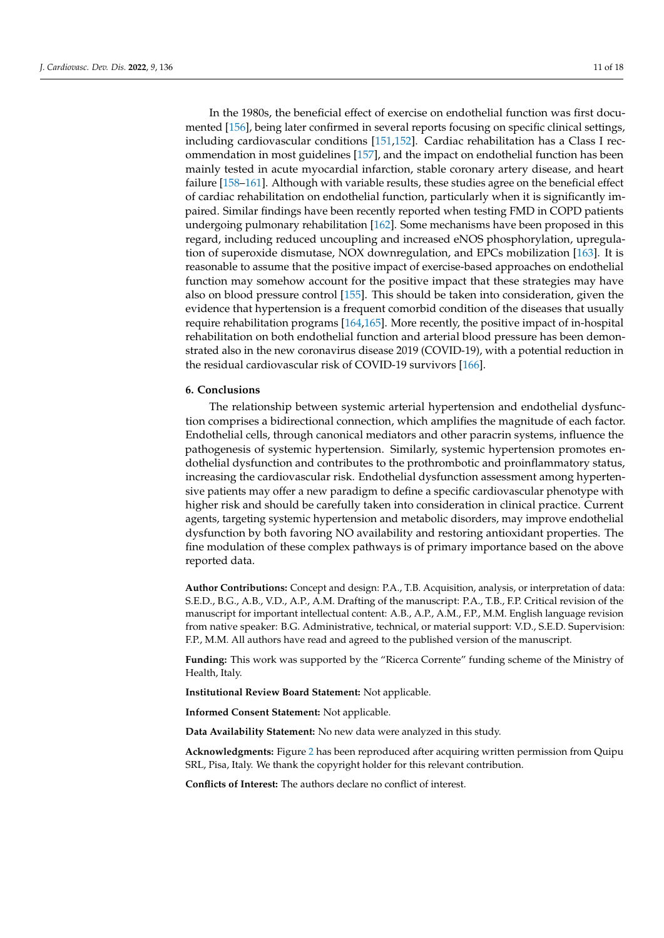In the 1980s, the beneficial effect of exercise on endothelial function was first documented [\[156\]](#page-16-20), being later confirmed in several reports focusing on specific clinical settings, including cardiovascular conditions [\[151](#page-16-15)[,152\]](#page-16-16). Cardiac rehabilitation has a Class I recommendation in most guidelines [\[157\]](#page-16-21), and the impact on endothelial function has been mainly tested in acute myocardial infarction, stable coronary artery disease, and heart failure [\[158–](#page-16-22)[161\]](#page-17-0). Although with variable results, these studies agree on the beneficial effect of cardiac rehabilitation on endothelial function, particularly when it is significantly impaired. Similar findings have been recently reported when testing FMD in COPD patients undergoing pulmonary rehabilitation [\[162\]](#page-17-1). Some mechanisms have been proposed in this regard, including reduced uncoupling and increased eNOS phosphorylation, upregulation of superoxide dismutase, NOX downregulation, and EPCs mobilization [\[163\]](#page-17-2). It is reasonable to assume that the positive impact of exercise-based approaches on endothelial function may somehow account for the positive impact that these strategies may have also on blood pressure control [\[155\]](#page-16-19). This should be taken into consideration, given the evidence that hypertension is a frequent comorbid condition of the diseases that usually require rehabilitation programs [\[164,](#page-17-3)[165\]](#page-17-4). More recently, the positive impact of in-hospital rehabilitation on both endothelial function and arterial blood pressure has been demonstrated also in the new coronavirus disease 2019 (COVID-19), with a potential reduction in the residual cardiovascular risk of COVID-19 survivors [\[166\]](#page-17-5).

#### **6. Conclusions**

The relationship between systemic arterial hypertension and endothelial dysfunction comprises a bidirectional connection, which amplifies the magnitude of each factor. Endothelial cells, through canonical mediators and other paracrin systems, influence the pathogenesis of systemic hypertension. Similarly, systemic hypertension promotes endothelial dysfunction and contributes to the prothrombotic and proinflammatory status, increasing the cardiovascular risk. Endothelial dysfunction assessment among hypertensive patients may offer a new paradigm to define a specific cardiovascular phenotype with higher risk and should be carefully taken into consideration in clinical practice. Current agents, targeting systemic hypertension and metabolic disorders, may improve endothelial dysfunction by both favoring NO availability and restoring antioxidant properties. The fine modulation of these complex pathways is of primary importance based on the above reported data.

**Author Contributions:** Concept and design: P.A., T.B. Acquisition, analysis, or interpretation of data: S.E.D., B.G., A.B., V.D., A.P., A.M. Drafting of the manuscript: P.A., T.B., F.P. Critical revision of the manuscript for important intellectual content: A.B., A.P., A.M., F.P., M.M. English language revision from native speaker: B.G. Administrative, technical, or material support: V.D., S.E.D. Supervision: F.P., M.M. All authors have read and agreed to the published version of the manuscript.

**Funding:** This work was supported by the "Ricerca Corrente" funding scheme of the Ministry of Health, Italy.

**Institutional Review Board Statement:** Not applicable.

**Informed Consent Statement:** Not applicable.

**Data Availability Statement:** No new data were analyzed in this study.

**Acknowledgments:** Figure [2](#page-6-0) has been reproduced after acquiring written permission from Quipu SRL, Pisa, Italy. We thank the copyright holder for this relevant contribution.

**Conflicts of Interest:** The authors declare no conflict of interest.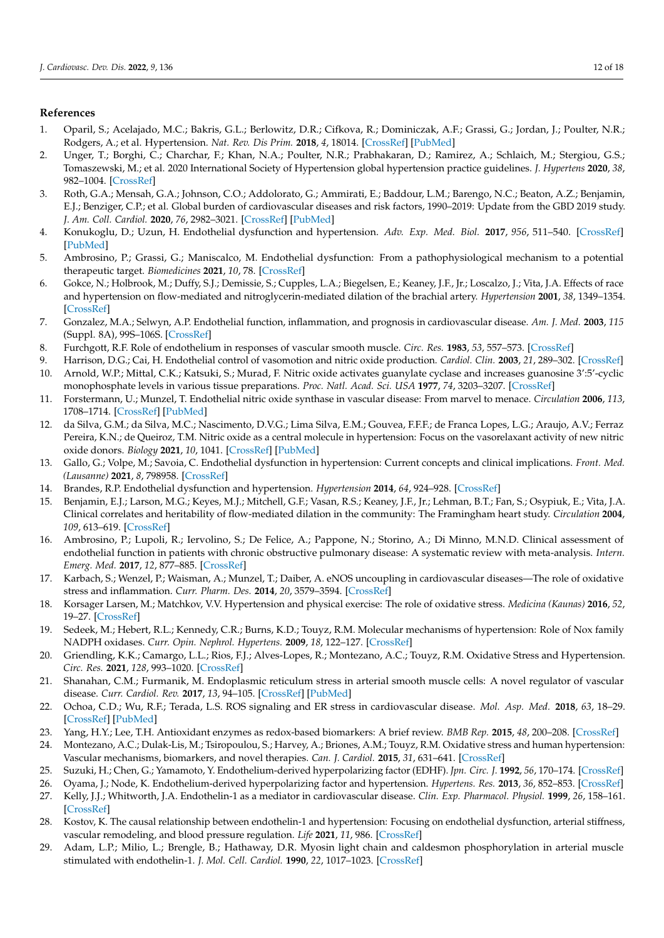# **References**

- <span id="page-11-0"></span>1. Oparil, S.; Acelajado, M.C.; Bakris, G.L.; Berlowitz, D.R.; Cifkova, R.; Dominiczak, A.F.; Grassi, G.; Jordan, J.; Poulter, N.R.; Rodgers, A.; et al. Hypertension. *Nat. Rev. Dis Prim.* **2018**, *4*, 18014. [\[CrossRef\]](http://doi.org/10.1038/nrdp.2018.14) [\[PubMed\]](http://www.ncbi.nlm.nih.gov/pubmed/29565029)
- <span id="page-11-1"></span>2. Unger, T.; Borghi, C.; Charchar, F.; Khan, N.A.; Poulter, N.R.; Prabhakaran, D.; Ramirez, A.; Schlaich, M.; Stergiou, G.S.; Tomaszewski, M.; et al. 2020 International Society of Hypertension global hypertension practice guidelines. *J. Hypertens* **2020**, *38*, 982–1004. [\[CrossRef\]](http://doi.org/10.1097/HJH.0000000000002453)
- <span id="page-11-2"></span>3. Roth, G.A.; Mensah, G.A.; Johnson, C.O.; Addolorato, G.; Ammirati, E.; Baddour, L.M.; Barengo, N.C.; Beaton, A.Z.; Benjamin, E.J.; Benziger, C.P.; et al. Global burden of cardiovascular diseases and risk factors, 1990–2019: Update from the GBD 2019 study. *J. Am. Coll. Cardiol.* **2020**, *76*, 2982–3021. [\[CrossRef\]](http://doi.org/10.1016/j.jacc.2020.11.010) [\[PubMed\]](http://www.ncbi.nlm.nih.gov/pubmed/33309175)
- <span id="page-11-3"></span>4. Konukoglu, D.; Uzun, H. Endothelial dysfunction and hypertension. *Adv. Exp. Med. Biol.* **2017**, *956*, 511–540. [\[CrossRef\]](http://doi.org/10.1007/5584_2016_90) [\[PubMed\]](http://www.ncbi.nlm.nih.gov/pubmed/28035582)
- <span id="page-11-4"></span>5. Ambrosino, P.; Grassi, G.; Maniscalco, M. Endothelial dysfunction: From a pathophysiological mechanism to a potential therapeutic target. *Biomedicines* **2021**, *10*, 78. [\[CrossRef\]](http://doi.org/10.3390/biomedicines10010078)
- <span id="page-11-5"></span>6. Gokce, N.; Holbrook, M.; Duffy, S.J.; Demissie, S.; Cupples, L.A.; Biegelsen, E.; Keaney, J.F., Jr.; Loscalzo, J.; Vita, J.A. Effects of race and hypertension on flow-mediated and nitroglycerin-mediated dilation of the brachial artery. *Hypertension* **2001**, *38*, 1349–1354. [\[CrossRef\]](http://doi.org/10.1161/hy1201.096575)
- <span id="page-11-6"></span>7. Gonzalez, M.A.; Selwyn, A.P. Endothelial function, inflammation, and prognosis in cardiovascular disease. *Am. J. Med.* **2003**, *115* (Suppl. 8A), 99S–106S. [\[CrossRef\]](http://doi.org/10.1016/j.amjmed.2003.09.016)
- <span id="page-11-7"></span>8. Furchgott, R.F. Role of endothelium in responses of vascular smooth muscle. *Circ. Res.* **1983**, *53*, 557–573. [\[CrossRef\]](http://doi.org/10.1161/01.RES.53.5.557)
- <span id="page-11-9"></span><span id="page-11-8"></span>9. Harrison, D.G.; Cai, H. Endothelial control of vasomotion and nitric oxide production. *Cardiol. Clin.* **2003**, *21*, 289–302. [\[CrossRef\]](http://doi.org/10.1016/S0733-8651(03)00073-0) 10. Arnold, W.P.; Mittal, C.K.; Katsuki, S.; Murad, F. Nitric oxide activates guanylate cyclase and increases guanosine 3':5'-cyclic
- <span id="page-11-10"></span>monophosphate levels in various tissue preparations. *Proc. Natl. Acad. Sci. USA* **1977**, *74*, 3203–3207. [\[CrossRef\]](http://doi.org/10.1073/pnas.74.8.3203) 11. Forstermann, U.; Munzel, T. Endothelial nitric oxide synthase in vascular disease: From marvel to menace. *Circulation* **2006**, *113*, 1708–1714. [\[CrossRef\]](http://doi.org/10.1161/CIRCULATIONAHA.105.602532) [\[PubMed\]](http://www.ncbi.nlm.nih.gov/pubmed/16585403)
- <span id="page-11-11"></span>12. da Silva, G.M.; da Silva, M.C.; Nascimento, D.V.G.; Lima Silva, E.M.; Gouvea, F.F.F.; de Franca Lopes, L.G.; Araujo, A.V.; Ferraz Pereira, K.N.; de Queiroz, T.M. Nitric oxide as a central molecule in hypertension: Focus on the vasorelaxant activity of new nitric oxide donors. *Biology* **2021**, *10*, 1041. [\[CrossRef\]](http://doi.org/10.3390/biology10101041) [\[PubMed\]](http://www.ncbi.nlm.nih.gov/pubmed/34681140)
- <span id="page-11-12"></span>13. Gallo, G.; Volpe, M.; Savoia, C. Endothelial dysfunction in hypertension: Current concepts and clinical implications. *Front. Med. (Lausanne)* **2021**, *8*, 798958. [\[CrossRef\]](http://doi.org/10.3389/fmed.2021.798958)
- <span id="page-11-13"></span>14. Brandes, R.P. Endothelial dysfunction and hypertension. *Hypertension* **2014**, *64*, 924–928. [\[CrossRef\]](http://doi.org/10.1161/HYPERTENSIONAHA.114.03575)
- <span id="page-11-14"></span>15. Benjamin, E.J.; Larson, M.G.; Keyes, M.J.; Mitchell, G.F.; Vasan, R.S.; Keaney, J.F., Jr.; Lehman, B.T.; Fan, S.; Osypiuk, E.; Vita, J.A. Clinical correlates and heritability of flow-mediated dilation in the community: The Framingham heart study. *Circulation* **2004**, *109*, 613–619. [\[CrossRef\]](http://doi.org/10.1161/01.CIR.0000112565.60887.1E)
- <span id="page-11-15"></span>16. Ambrosino, P.; Lupoli, R.; Iervolino, S.; De Felice, A.; Pappone, N.; Storino, A.; Di Minno, M.N.D. Clinical assessment of endothelial function in patients with chronic obstructive pulmonary disease: A systematic review with meta-analysis. *Intern. Emerg. Med.* **2017**, *12*, 877–885. [\[CrossRef\]](http://doi.org/10.1007/s11739-017-1690-0)
- <span id="page-11-16"></span>17. Karbach, S.; Wenzel, P.; Waisman, A.; Munzel, T.; Daiber, A. eNOS uncoupling in cardiovascular diseases—The role of oxidative stress and inflammation. *Curr. Pharm. Des.* **2014**, *20*, 3579–3594. [\[CrossRef\]](http://doi.org/10.2174/13816128113196660748)
- <span id="page-11-17"></span>18. Korsager Larsen, M.; Matchkov, V.V. Hypertension and physical exercise: The role of oxidative stress. *Medicina (Kaunas)* **2016**, *52*, 19–27. [\[CrossRef\]](http://doi.org/10.1016/j.medici.2016.01.005)
- <span id="page-11-18"></span>19. Sedeek, M.; Hebert, R.L.; Kennedy, C.R.; Burns, K.D.; Touyz, R.M. Molecular mechanisms of hypertension: Role of Nox family NADPH oxidases. *Curr. Opin. Nephrol. Hypertens.* **2009**, *18*, 122–127. [\[CrossRef\]](http://doi.org/10.1097/MNH.0b013e32832923c3)
- <span id="page-11-19"></span>20. Griendling, K.K.; Camargo, L.L.; Rios, F.J.; Alves-Lopes, R.; Montezano, A.C.; Touyz, R.M. Oxidative Stress and Hypertension. *Circ. Res.* **2021**, *128*, 993–1020. [\[CrossRef\]](http://doi.org/10.1161/CIRCRESAHA.121.318063)
- <span id="page-11-20"></span>21. Shanahan, C.M.; Furmanik, M. Endoplasmic reticulum stress in arterial smooth muscle cells: A novel regulator of vascular disease. *Curr. Cardiol. Rev.* **2017**, *13*, 94–105. [\[CrossRef\]](http://doi.org/10.2174/1573403X12666161014094738) [\[PubMed\]](http://www.ncbi.nlm.nih.gov/pubmed/27758694)
- <span id="page-11-21"></span>22. Ochoa, C.D.; Wu, R.F.; Terada, L.S. ROS signaling and ER stress in cardiovascular disease. *Mol. Asp. Med.* **2018**, *63*, 18–29. [\[CrossRef\]](http://doi.org/10.1016/j.mam.2018.03.002) [\[PubMed\]](http://www.ncbi.nlm.nih.gov/pubmed/29559224)
- <span id="page-11-22"></span>23. Yang, H.Y.; Lee, T.H. Antioxidant enzymes as redox-based biomarkers: A brief review. *BMB Rep.* **2015**, *48*, 200–208. [\[CrossRef\]](http://doi.org/10.5483/BMBRep.2015.48.4.274)
- <span id="page-11-23"></span>24. Montezano, A.C.; Dulak-Lis, M.; Tsiropoulou, S.; Harvey, A.; Briones, A.M.; Touyz, R.M. Oxidative stress and human hypertension: Vascular mechanisms, biomarkers, and novel therapies. *Can. J. Cardiol.* **2015**, *31*, 631–641. [\[CrossRef\]](http://doi.org/10.1016/j.cjca.2015.02.008)
- <span id="page-11-24"></span>25. Suzuki, H.; Chen, G.; Yamamoto, Y. Endothelium-derived hyperpolarizing factor (EDHF). *Jpn. Circ. J.* **1992**, *56*, 170–174. [\[CrossRef\]](http://doi.org/10.1253/jcj.56.170)
- <span id="page-11-25"></span>26. Oyama, J.; Node, K. Endothelium-derived hyperpolarizing factor and hypertension. *Hypertens. Res.* **2013**, *36*, 852–853. [\[CrossRef\]](http://doi.org/10.1038/hr.2013.97)
- <span id="page-11-26"></span>27. Kelly, J.J.; Whitworth, J.A. Endothelin-1 as a mediator in cardiovascular disease. *Clin. Exp. Pharmacol. Physiol.* **1999**, *26*, 158–161. [\[CrossRef\]](http://doi.org/10.1046/j.1440-1681.1999.03011.x)
- <span id="page-11-27"></span>28. Kostov, K. The causal relationship between endothelin-1 and hypertension: Focusing on endothelial dysfunction, arterial stiffness, vascular remodeling, and blood pressure regulation. *Life* **2021**, *11*, 986. [\[CrossRef\]](http://doi.org/10.3390/life11090986)
- <span id="page-11-28"></span>29. Adam, L.P.; Milio, L.; Brengle, B.; Hathaway, D.R. Myosin light chain and caldesmon phosphorylation in arterial muscle stimulated with endothelin-1. *J. Mol. Cell. Cardiol.* **1990**, *22*, 1017–1023. [\[CrossRef\]](http://doi.org/10.1016/0022-2828(90)91041-5)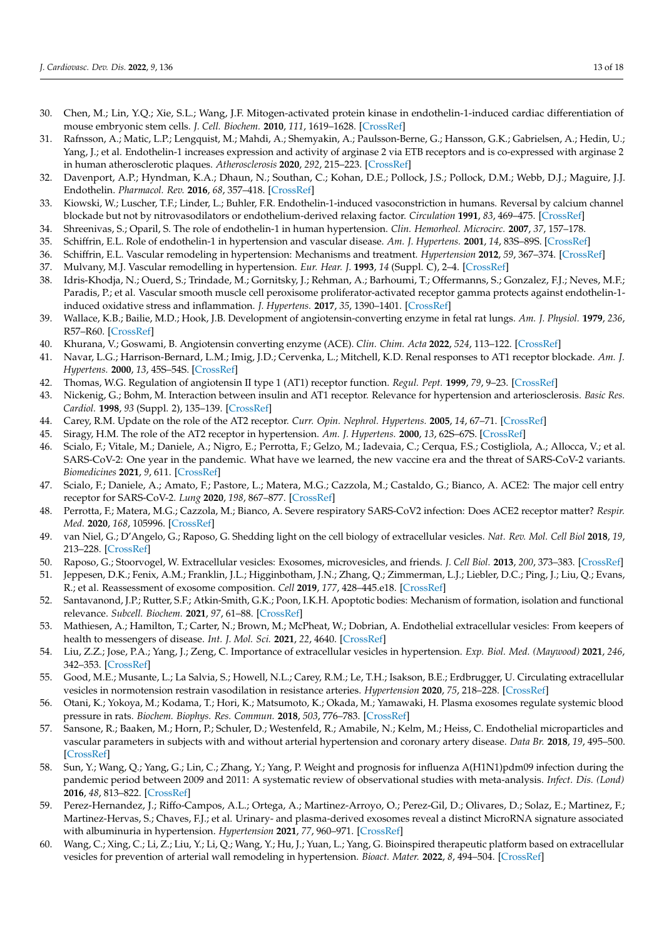- <span id="page-12-0"></span>30. Chen, M.; Lin, Y.Q.; Xie, S.L.; Wang, J.F. Mitogen-activated protein kinase in endothelin-1-induced cardiac differentiation of mouse embryonic stem cells. *J. Cell. Biochem.* **2010**, *111*, 1619–1628. [\[CrossRef\]](http://doi.org/10.1002/jcb.22895)
- <span id="page-12-1"></span>31. Rafnsson, A.; Matic, L.P.; Lengquist, M.; Mahdi, A.; Shemyakin, A.; Paulsson-Berne, G.; Hansson, G.K.; Gabrielsen, A.; Hedin, U.; Yang, J.; et al. Endothelin-1 increases expression and activity of arginase 2 via ETB receptors and is co-expressed with arginase 2 in human atherosclerotic plaques. *Atherosclerosis* **2020**, *292*, 215–223. [\[CrossRef\]](http://doi.org/10.1016/j.atherosclerosis.2019.09.020)
- <span id="page-12-2"></span>32. Davenport, A.P.; Hyndman, K.A.; Dhaun, N.; Southan, C.; Kohan, D.E.; Pollock, J.S.; Pollock, D.M.; Webb, D.J.; Maguire, J.J. Endothelin. *Pharmacol. Rev.* **2016**, *68*, 357–418. [\[CrossRef\]](http://doi.org/10.1124/pr.115.011833)
- <span id="page-12-3"></span>33. Kiowski, W.; Luscher, T.F.; Linder, L.; Buhler, F.R. Endothelin-1-induced vasoconstriction in humans. Reversal by calcium channel blockade but not by nitrovasodilators or endothelium-derived relaxing factor. *Circulation* **1991**, *83*, 469–475. [\[CrossRef\]](http://doi.org/10.1161/01.CIR.83.2.469)
- <span id="page-12-4"></span>34. Shreenivas, S.; Oparil, S. The role of endothelin-1 in human hypertension. *Clin. Hemorheol. Microcirc.* **2007**, *37*, 157–178.
- <span id="page-12-5"></span>35. Schiffrin, E.L. Role of endothelin-1 in hypertension and vascular disease. *Am. J. Hypertens.* **2001**, *14*, 83S–89S. [\[CrossRef\]](http://doi.org/10.1016/S0895-7061(01)02074-X)
- <span id="page-12-6"></span>36. Schiffrin, E.L. Vascular remodeling in hypertension: Mechanisms and treatment. *Hypertension* **2012**, *59*, 367–374. [\[CrossRef\]](http://doi.org/10.1161/HYPERTENSIONAHA.111.187021)
- <span id="page-12-7"></span>37. Mulvany, M.J. Vascular remodelling in hypertension. *Eur. Hear. J.* **1993**, *14* (Suppl. C), 2–4. [\[CrossRef\]](http://doi.org/10.1093/eurheartj/14.suppl_C.2)
- <span id="page-12-8"></span>38. Idris-Khodja, N.; Ouerd, S.; Trindade, M.; Gornitsky, J.; Rehman, A.; Barhoumi, T.; Offermanns, S.; Gonzalez, F.J.; Neves, M.F.; Paradis, P.; et al. Vascular smooth muscle cell peroxisome proliferator-activated receptor gamma protects against endothelin-1 induced oxidative stress and inflammation. *J. Hypertens.* **2017**, *35*, 1390–1401. [\[CrossRef\]](http://doi.org/10.1097/HJH.0000000000001324)
- <span id="page-12-9"></span>39. Wallace, K.B.; Bailie, M.D.; Hook, J.B. Development of angiotensin-converting enzyme in fetal rat lungs. *Am. J. Physiol.* **1979**, *236*, R57–R60. [\[CrossRef\]](http://doi.org/10.1152/ajpregu.1979.236.1.R57)
- <span id="page-12-10"></span>40. Khurana, V.; Goswami, B. Angiotensin converting enzyme (ACE). *Clin. Chim. Acta* **2022**, *524*, 113–122. [\[CrossRef\]](http://doi.org/10.1016/j.cca.2021.10.029)
- <span id="page-12-11"></span>41. Navar, L.G.; Harrison-Bernard, L.M.; Imig, J.D.; Cervenka, L.; Mitchell, K.D. Renal responses to AT1 receptor blockade. *Am. J. Hypertens.* **2000**, *13*, 45S–54S. [\[CrossRef\]](http://doi.org/10.1016/S0895-7061(99)00248-4)
- <span id="page-12-12"></span>42. Thomas, W.G. Regulation of angiotensin II type 1 (AT1) receptor function. *Regul. Pept.* **1999**, *79*, 9–23. [\[CrossRef\]](http://doi.org/10.1016/S0167-0115(98)00140-2)
- <span id="page-12-13"></span>43. Nickenig, G.; Bohm, M. Interaction between insulin and AT1 receptor. Relevance for hypertension and arteriosclerosis. *Basic Res. Cardiol.* **1998**, *93* (Suppl. 2), 135–139. [\[CrossRef\]](http://doi.org/10.1007/s003950050240)
- <span id="page-12-14"></span>44. Carey, R.M. Update on the role of the AT2 receptor. *Curr. Opin. Nephrol. Hypertens.* **2005**, *14*, 67–71. [\[CrossRef\]](http://doi.org/10.1097/00041552-200501000-00011)
- <span id="page-12-15"></span>45. Siragy, H.M. The role of the AT2 receptor in hypertension. *Am. J. Hypertens.* **2000**, *13*, 62S–67S. [\[CrossRef\]](http://doi.org/10.1016/S0895-7061(00)00274-0)
- <span id="page-12-16"></span>46. Scialo, F.; Vitale, M.; Daniele, A.; Nigro, E.; Perrotta, F.; Gelzo, M.; Iadevaia, C.; Cerqua, F.S.; Costigliola, A.; Allocca, V.; et al. SARS-CoV-2: One year in the pandemic. What have we learned, the new vaccine era and the threat of SARS-CoV-2 variants. *Biomedicines* **2021**, *9*, 611. [\[CrossRef\]](http://doi.org/10.3390/biomedicines9060611)
- <span id="page-12-17"></span>47. Scialo, F.; Daniele, A.; Amato, F.; Pastore, L.; Matera, M.G.; Cazzola, M.; Castaldo, G.; Bianco, A. ACE2: The major cell entry receptor for SARS-CoV-2. *Lung* **2020**, *198*, 867–877. [\[CrossRef\]](http://doi.org/10.1007/s00408-020-00408-4)
- <span id="page-12-18"></span>48. Perrotta, F.; Matera, M.G.; Cazzola, M.; Bianco, A. Severe respiratory SARS-CoV2 infection: Does ACE2 receptor matter? *Respir. Med.* **2020**, *168*, 105996. [\[CrossRef\]](http://doi.org/10.1016/j.rmed.2020.105996)
- <span id="page-12-19"></span>49. van Niel, G.; D'Angelo, G.; Raposo, G. Shedding light on the cell biology of extracellular vesicles. *Nat. Rev. Mol. Cell Biol* **2018**, *19*, 213–228. [\[CrossRef\]](http://doi.org/10.1038/nrm.2017.125)
- <span id="page-12-20"></span>50. Raposo, G.; Stoorvogel, W. Extracellular vesicles: Exosomes, microvesicles, and friends. *J. Cell Biol.* **2013**, *200*, 373–383. [\[CrossRef\]](http://doi.org/10.1083/jcb.201211138)
- <span id="page-12-21"></span>51. Jeppesen, D.K.; Fenix, A.M.; Franklin, J.L.; Higginbotham, J.N.; Zhang, Q.; Zimmerman, L.J.; Liebler, D.C.; Ping, J.; Liu, Q.; Evans, R.; et al. Reassessment of exosome composition. *Cell* **2019**, *177*, 428–445.e18. [\[CrossRef\]](http://doi.org/10.1016/j.cell.2019.02.029)
- <span id="page-12-22"></span>52. Santavanond, J.P.; Rutter, S.F.; Atkin-Smith, G.K.; Poon, I.K.H. Apoptotic bodies: Mechanism of formation, isolation and functional relevance. *Subcell. Biochem.* **2021**, *97*, 61–88. [\[CrossRef\]](http://doi.org/10.1007/978-3-030-67171-6_4)
- <span id="page-12-23"></span>53. Mathiesen, A.; Hamilton, T.; Carter, N.; Brown, M.; McPheat, W.; Dobrian, A. Endothelial extracellular vesicles: From keepers of health to messengers of disease. *Int. J. Mol. Sci.* **2021**, *22*, 4640. [\[CrossRef\]](http://doi.org/10.3390/ijms22094640)
- <span id="page-12-24"></span>54. Liu, Z.Z.; Jose, P.A.; Yang, J.; Zeng, C. Importance of extracellular vesicles in hypertension. *Exp. Biol. Med. (Maywood)* **2021**, *246*, 342–353. [\[CrossRef\]](http://doi.org/10.1177/1535370220974600)
- <span id="page-12-25"></span>55. Good, M.E.; Musante, L.; La Salvia, S.; Howell, N.L.; Carey, R.M.; Le, T.H.; Isakson, B.E.; Erdbrugger, U. Circulating extracellular vesicles in normotension restrain vasodilation in resistance arteries. *Hypertension* **2020**, *75*, 218–228. [\[CrossRef\]](http://doi.org/10.1161/HYPERTENSIONAHA.119.13363)
- <span id="page-12-26"></span>56. Otani, K.; Yokoya, M.; Kodama, T.; Hori, K.; Matsumoto, K.; Okada, M.; Yamawaki, H. Plasma exosomes regulate systemic blood pressure in rats. *Biochem. Biophys. Res. Commun.* **2018**, *503*, 776–783. [\[CrossRef\]](http://doi.org/10.1016/j.bbrc.2018.06.075)
- <span id="page-12-27"></span>57. Sansone, R.; Baaken, M.; Horn, P.; Schuler, D.; Westenfeld, R.; Amabile, N.; Kelm, M.; Heiss, C. Endothelial microparticles and vascular parameters in subjects with and without arterial hypertension and coronary artery disease. *Data Br.* **2018**, *19*, 495–500. [\[CrossRef\]](http://doi.org/10.1016/j.dib.2018.04.149)
- <span id="page-12-28"></span>58. Sun, Y.; Wang, Q.; Yang, G.; Lin, C.; Zhang, Y.; Yang, P. Weight and prognosis for influenza A(H1N1)pdm09 infection during the pandemic period between 2009 and 2011: A systematic review of observational studies with meta-analysis. *Infect. Dis. (Lond)* **2016**, *48*, 813–822. [\[CrossRef\]](http://doi.org/10.1080/23744235.2016.1201721)
- <span id="page-12-29"></span>59. Perez-Hernandez, J.; Riffo-Campos, A.L.; Ortega, A.; Martinez-Arroyo, O.; Perez-Gil, D.; Olivares, D.; Solaz, E.; Martinez, F.; Martinez-Hervas, S.; Chaves, F.J.; et al. Urinary- and plasma-derived exosomes reveal a distinct MicroRNA signature associated with albuminuria in hypertension. *Hypertension* **2021**, *77*, 960–971. [\[CrossRef\]](http://doi.org/10.1161/HYPERTENSIONAHA.120.16598)
- <span id="page-12-30"></span>60. Wang, C.; Xing, C.; Li, Z.; Liu, Y.; Li, Q.; Wang, Y.; Hu, J.; Yuan, L.; Yang, G. Bioinspired therapeutic platform based on extracellular vesicles for prevention of arterial wall remodeling in hypertension. *Bioact. Mater.* **2022**, *8*, 494–504. [\[CrossRef\]](http://doi.org/10.1016/j.bioactmat.2021.06.005)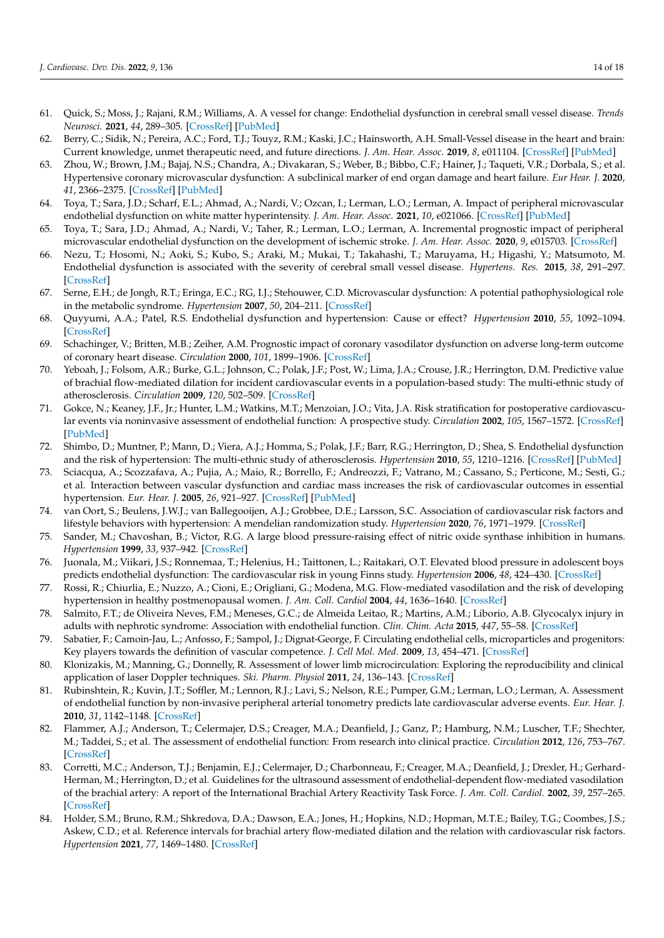- <span id="page-13-0"></span>61. Quick, S.; Moss, J.; Rajani, R.M.; Williams, A. A vessel for change: Endothelial dysfunction in cerebral small vessel disease. *Trends Neurosci.* **2021**, *44*, 289–305. [\[CrossRef\]](http://doi.org/10.1016/j.tins.2020.11.003) [\[PubMed\]](http://www.ncbi.nlm.nih.gov/pubmed/33308877)
- <span id="page-13-1"></span>62. Berry, C.; Sidik, N.; Pereira, A.C.; Ford, T.J.; Touyz, R.M.; Kaski, J.C.; Hainsworth, A.H. Small-Vessel disease in the heart and brain: Current knowledge, unmet therapeutic need, and future directions. *J. Am. Hear. Assoc.* **2019**, *8*, e011104. [\[CrossRef\]](http://doi.org/10.1161/JAHA.118.011104) [\[PubMed\]](http://www.ncbi.nlm.nih.gov/pubmed/30712442)
- <span id="page-13-2"></span>63. Zhou, W.; Brown, J.M.; Bajaj, N.S.; Chandra, A.; Divakaran, S.; Weber, B.; Bibbo, C.F.; Hainer, J.; Taqueti, V.R.; Dorbala, S.; et al. Hypertensive coronary microvascular dysfunction: A subclinical marker of end organ damage and heart failure. *Eur Hear. J.* **2020**, *41*, 2366–2375. [\[CrossRef\]](http://doi.org/10.1093/eurheartj/ehaa191) [\[PubMed\]](http://www.ncbi.nlm.nih.gov/pubmed/32221588)
- <span id="page-13-3"></span>64. Toya, T.; Sara, J.D.; Scharf, E.L.; Ahmad, A.; Nardi, V.; Ozcan, I.; Lerman, L.O.; Lerman, A. Impact of peripheral microvascular endothelial dysfunction on white matter hyperintensity. *J. Am. Hear. Assoc.* **2021**, *10*, e021066. [\[CrossRef\]](http://doi.org/10.1161/JAHA.121.021066) [\[PubMed\]](http://www.ncbi.nlm.nih.gov/pubmed/34622674)
- <span id="page-13-4"></span>65. Toya, T.; Sara, J.D.; Ahmad, A.; Nardi, V.; Taher, R.; Lerman, L.O.; Lerman, A. Incremental prognostic impact of peripheral microvascular endothelial dysfunction on the development of ischemic stroke. *J. Am. Hear. Assoc.* **2020**, *9*, e015703. [\[CrossRef\]](http://doi.org/10.1161/JAHA.119.015703)
- <span id="page-13-5"></span>66. Nezu, T.; Hosomi, N.; Aoki, S.; Kubo, S.; Araki, M.; Mukai, T.; Takahashi, T.; Maruyama, H.; Higashi, Y.; Matsumoto, M. Endothelial dysfunction is associated with the severity of cerebral small vessel disease. *Hypertens. Res.* **2015**, *38*, 291–297. [\[CrossRef\]](http://doi.org/10.1038/hr.2015.4)
- <span id="page-13-6"></span>67. Serne, E.H.; de Jongh, R.T.; Eringa, E.C.; RG, I.J.; Stehouwer, C.D. Microvascular dysfunction: A potential pathophysiological role in the metabolic syndrome. *Hypertension* **2007**, *50*, 204–211. [\[CrossRef\]](http://doi.org/10.1161/HYPERTENSIONAHA.107.089680)
- <span id="page-13-7"></span>68. Quyyumi, A.A.; Patel, R.S. Endothelial dysfunction and hypertension: Cause or effect? *Hypertension* **2010**, *55*, 1092–1094. [\[CrossRef\]](http://doi.org/10.1161/HYPERTENSIONAHA.109.148957)
- <span id="page-13-8"></span>69. Schachinger, V.; Britten, M.B.; Zeiher, A.M. Prognostic impact of coronary vasodilator dysfunction on adverse long-term outcome of coronary heart disease. *Circulation* **2000**, *101*, 1899–1906. [\[CrossRef\]](http://doi.org/10.1161/01.CIR.101.16.1899)
- <span id="page-13-9"></span>70. Yeboah, J.; Folsom, A.R.; Burke, G.L.; Johnson, C.; Polak, J.F.; Post, W.; Lima, J.A.; Crouse, J.R.; Herrington, D.M. Predictive value of brachial flow-mediated dilation for incident cardiovascular events in a population-based study: The multi-ethnic study of atherosclerosis. *Circulation* **2009**, *120*, 502–509. [\[CrossRef\]](http://doi.org/10.1161/CIRCULATIONAHA.109.864801)
- <span id="page-13-10"></span>71. Gokce, N.; Keaney, J.F., Jr.; Hunter, L.M.; Watkins, M.T.; Menzoian, J.O.; Vita, J.A. Risk stratification for postoperative cardiovascular events via noninvasive assessment of endothelial function: A prospective study. *Circulation* **2002**, *105*, 1567–1572. [\[CrossRef\]](http://doi.org/10.1161/01.CIR.0000012543.55874.47) [\[PubMed\]](http://www.ncbi.nlm.nih.gov/pubmed/11927524)
- <span id="page-13-11"></span>72. Shimbo, D.; Muntner, P.; Mann, D.; Viera, A.J.; Homma, S.; Polak, J.F.; Barr, R.G.; Herrington, D.; Shea, S. Endothelial dysfunction and the risk of hypertension: The multi-ethnic study of atherosclerosis. *Hypertension* **2010**, *55*, 1210–1216. [\[CrossRef\]](http://doi.org/10.1161/HYPERTENSIONAHA.109.143123) [\[PubMed\]](http://www.ncbi.nlm.nih.gov/pubmed/20308612)
- <span id="page-13-12"></span>73. Sciacqua, A.; Scozzafava, A.; Pujia, A.; Maio, R.; Borrello, F.; Andreozzi, F.; Vatrano, M.; Cassano, S.; Perticone, M.; Sesti, G.; et al. Interaction between vascular dysfunction and cardiac mass increases the risk of cardiovascular outcomes in essential hypertension. *Eur. Hear. J.* **2005**, *26*, 921–927. [\[CrossRef\]](http://doi.org/10.1093/eurheartj/ehi112) [\[PubMed\]](http://www.ncbi.nlm.nih.gov/pubmed/15689344)
- <span id="page-13-13"></span>74. van Oort, S.; Beulens, J.W.J.; van Ballegooijen, A.J.; Grobbee, D.E.; Larsson, S.C. Association of cardiovascular risk factors and lifestyle behaviors with hypertension: A mendelian randomization study. *Hypertension* **2020**, *76*, 1971–1979. [\[CrossRef\]](http://doi.org/10.1161/HYPERTENSIONAHA.120.15761)
- <span id="page-13-14"></span>75. Sander, M.; Chavoshan, B.; Victor, R.G. A large blood pressure-raising effect of nitric oxide synthase inhibition in humans. *Hypertension* **1999**, *33*, 937–942. [\[CrossRef\]](http://doi.org/10.1161/01.HYP.33.4.937)
- <span id="page-13-15"></span>76. Juonala, M.; Viikari, J.S.; Ronnemaa, T.; Helenius, H.; Taittonen, L.; Raitakari, O.T. Elevated blood pressure in adolescent boys predicts endothelial dysfunction: The cardiovascular risk in young Finns study. *Hypertension* **2006**, *48*, 424–430. [\[CrossRef\]](http://doi.org/10.1161/01.HYP.0000237666.78217.47)
- <span id="page-13-16"></span>77. Rossi, R.; Chiurlia, E.; Nuzzo, A.; Cioni, E.; Origliani, G.; Modena, M.G. Flow-mediated vasodilation and the risk of developing hypertension in healthy postmenopausal women. *J. Am. Coll. Cardiol* **2004**, *44*, 1636–1640. [\[CrossRef\]](http://doi.org/10.1016/j.jacc.2004.07.027)
- <span id="page-13-17"></span>78. Salmito, F.T.; de Oliveira Neves, F.M.; Meneses, G.C.; de Almeida Leitao, R.; Martins, A.M.; Liborio, A.B. Glycocalyx injury in adults with nephrotic syndrome: Association with endothelial function. *Clin. Chim. Acta* **2015**, *447*, 55–58. [\[CrossRef\]](http://doi.org/10.1016/j.cca.2015.05.013)
- <span id="page-13-18"></span>79. Sabatier, F.; Camoin-Jau, L.; Anfosso, F.; Sampol, J.; Dignat-George, F. Circulating endothelial cells, microparticles and progenitors: Key players towards the definition of vascular competence. *J. Cell Mol. Med.* **2009**, *13*, 454–471. [\[CrossRef\]](http://doi.org/10.1111/j.1582-4934.2008.00639.x)
- <span id="page-13-19"></span>80. Klonizakis, M.; Manning, G.; Donnelly, R. Assessment of lower limb microcirculation: Exploring the reproducibility and clinical application of laser Doppler techniques. *Ski. Pharm. Physiol* **2011**, *24*, 136–143. [\[CrossRef\]](http://doi.org/10.1159/000322853)
- <span id="page-13-20"></span>81. Rubinshtein, R.; Kuvin, J.T.; Soffler, M.; Lennon, R.J.; Lavi, S.; Nelson, R.E.; Pumper, G.M.; Lerman, L.O.; Lerman, A. Assessment of endothelial function by non-invasive peripheral arterial tonometry predicts late cardiovascular adverse events. *Eur. Hear. J.* **2010**, *31*, 1142–1148. [\[CrossRef\]](http://doi.org/10.1093/eurheartj/ehq010)
- <span id="page-13-21"></span>82. Flammer, A.J.; Anderson, T.; Celermajer, D.S.; Creager, M.A.; Deanfield, J.; Ganz, P.; Hamburg, N.M.; Luscher, T.F.; Shechter, M.; Taddei, S.; et al. The assessment of endothelial function: From research into clinical practice. *Circulation* **2012**, *126*, 753–767. [\[CrossRef\]](http://doi.org/10.1161/CIRCULATIONAHA.112.093245)
- <span id="page-13-22"></span>83. Corretti, M.C.; Anderson, T.J.; Benjamin, E.J.; Celermajer, D.; Charbonneau, F.; Creager, M.A.; Deanfield, J.; Drexler, H.; Gerhard-Herman, M.; Herrington, D.; et al. Guidelines for the ultrasound assessment of endothelial-dependent flow-mediated vasodilation of the brachial artery: A report of the International Brachial Artery Reactivity Task Force. *J. Am. Coll. Cardiol.* **2002**, *39*, 257–265. [\[CrossRef\]](http://doi.org/10.1016/S0735-1097(01)01746-6)
- <span id="page-13-23"></span>84. Holder, S.M.; Bruno, R.M.; Shkredova, D.A.; Dawson, E.A.; Jones, H.; Hopkins, N.D.; Hopman, M.T.E.; Bailey, T.G.; Coombes, J.S.; Askew, C.D.; et al. Reference intervals for brachial artery flow-mediated dilation and the relation with cardiovascular risk factors. *Hypertension* **2021**, *77*, 1469–1480. [\[CrossRef\]](http://doi.org/10.1161/HYPERTENSIONAHA.120.15754)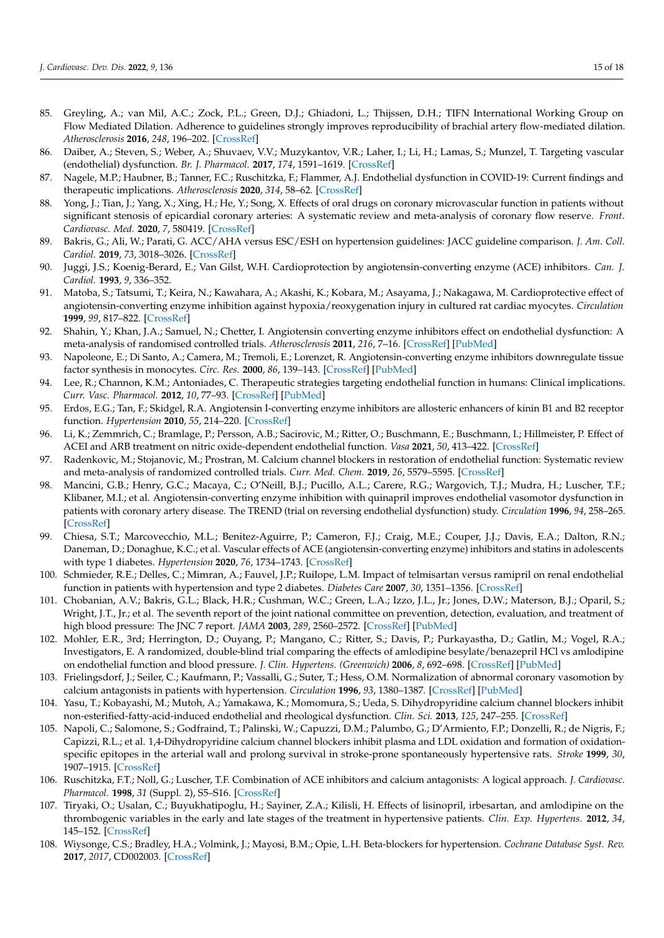- <span id="page-14-0"></span>85. Greyling, A.; van Mil, A.C.; Zock, P.L.; Green, D.J.; Ghiadoni, L.; Thijssen, D.H.; TIFN International Working Group on Flow Mediated Dilation. Adherence to guidelines strongly improves reproducibility of brachial artery flow-mediated dilation. *Atherosclerosis* **2016**, *248*, 196–202. [\[CrossRef\]](http://doi.org/10.1016/j.atherosclerosis.2016.03.011)
- <span id="page-14-1"></span>86. Daiber, A.; Steven, S.; Weber, A.; Shuvaev, V.V.; Muzykantov, V.R.; Laher, I.; Li, H.; Lamas, S.; Munzel, T. Targeting vascular (endothelial) dysfunction. *Br. J. Pharmacol.* **2017**, *174*, 1591–1619. [\[CrossRef\]](http://doi.org/10.1111/bph.13517)
- <span id="page-14-2"></span>87. Nagele, M.P.; Haubner, B.; Tanner, F.C.; Ruschitzka, F.; Flammer, A.J. Endothelial dysfunction in COVID-19: Current findings and therapeutic implications. *Atherosclerosis* **2020**, *314*, 58–62. [\[CrossRef\]](http://doi.org/10.1016/j.atherosclerosis.2020.10.014)
- <span id="page-14-3"></span>88. Yong, J.; Tian, J.; Yang, X.; Xing, H.; He, Y.; Song, X. Effects of oral drugs on coronary microvascular function in patients without significant stenosis of epicardial coronary arteries: A systematic review and meta-analysis of coronary flow reserve. *Front. Cardiovasc. Med.* **2020**, *7*, 580419. [\[CrossRef\]](http://doi.org/10.3389/fcvm.2020.580419)
- <span id="page-14-4"></span>89. Bakris, G.; Ali, W.; Parati, G. ACC/AHA versus ESC/ESH on hypertension guidelines: JACC guideline comparison. *J. Am. Coll. Cardiol.* **2019**, *73*, 3018–3026. [\[CrossRef\]](http://doi.org/10.1016/j.jacc.2019.03.507)
- <span id="page-14-5"></span>90. Juggi, J.S.; Koenig-Berard, E.; Van Gilst, W.H. Cardioprotection by angiotensin-converting enzyme (ACE) inhibitors. *Can. J. Cardiol.* **1993**, *9*, 336–352.
- <span id="page-14-6"></span>91. Matoba, S.; Tatsumi, T.; Keira, N.; Kawahara, A.; Akashi, K.; Kobara, M.; Asayama, J.; Nakagawa, M. Cardioprotective effect of angiotensin-converting enzyme inhibition against hypoxia/reoxygenation injury in cultured rat cardiac myocytes. *Circulation* **1999**, *99*, 817–822. [\[CrossRef\]](http://doi.org/10.1161/01.CIR.99.6.817)
- <span id="page-14-7"></span>92. Shahin, Y.; Khan, J.A.; Samuel, N.; Chetter, I. Angiotensin converting enzyme inhibitors effect on endothelial dysfunction: A meta-analysis of randomised controlled trials. *Atherosclerosis* **2011**, *216*, 7–16. [\[CrossRef\]](http://doi.org/10.1016/j.atherosclerosis.2011.02.044) [\[PubMed\]](http://www.ncbi.nlm.nih.gov/pubmed/21411098)
- <span id="page-14-8"></span>93. Napoleone, E.; Di Santo, A.; Camera, M.; Tremoli, E.; Lorenzet, R. Angiotensin-converting enzyme inhibitors downregulate tissue factor synthesis in monocytes. *Circ. Res.* **2000**, *86*, 139–143. [\[CrossRef\]](http://doi.org/10.1161/01.RES.86.2.139) [\[PubMed\]](http://www.ncbi.nlm.nih.gov/pubmed/10666408)
- <span id="page-14-9"></span>94. Lee, R.; Channon, K.M.; Antoniades, C. Therapeutic strategies targeting endothelial function in humans: Clinical implications. *Curr. Vasc. Pharmacol.* **2012**, *10*, 77–93. [\[CrossRef\]](http://doi.org/10.2174/157016112798829751) [\[PubMed\]](http://www.ncbi.nlm.nih.gov/pubmed/22112349)
- <span id="page-14-10"></span>95. Erdos, E.G.; Tan, F.; Skidgel, R.A. Angiotensin I-converting enzyme inhibitors are allosteric enhancers of kinin B1 and B2 receptor function. *Hypertension* **2010**, *55*, 214–220. [\[CrossRef\]](http://doi.org/10.1161/HYPERTENSIONAHA.109.144600)
- <span id="page-14-11"></span>96. Li, K.; Zemmrich, C.; Bramlage, P.; Persson, A.B.; Sacirovic, M.; Ritter, O.; Buschmann, E.; Buschmann, I.; Hillmeister, P. Effect of ACEI and ARB treatment on nitric oxide-dependent endothelial function. *Vasa* **2021**, *50*, 413–422. [\[CrossRef\]](http://doi.org/10.1024/0301-1526/a000971)
- <span id="page-14-12"></span>97. Radenkovic, M.; Stojanovic, M.; Prostran, M. Calcium channel blockers in restoration of endothelial function: Systematic review and meta-analysis of randomized controlled trials. *Curr. Med. Chem.* **2019**, *26*, 5579–5595. [\[CrossRef\]](http://doi.org/10.2174/0929867325666180713144806)
- <span id="page-14-13"></span>98. Mancini, G.B.; Henry, G.C.; Macaya, C.; O'Neill, B.J.; Pucillo, A.L.; Carere, R.G.; Wargovich, T.J.; Mudra, H.; Luscher, T.F.; Klibaner, M.I.; et al. Angiotensin-converting enzyme inhibition with quinapril improves endothelial vasomotor dysfunction in patients with coronary artery disease. The TREND (trial on reversing endothelial dysfunction) study. *Circulation* **1996**, *94*, 258–265. [\[CrossRef\]](http://doi.org/10.1161/01.CIR.94.3.258)
- <span id="page-14-14"></span>99. Chiesa, S.T.; Marcovecchio, M.L.; Benitez-Aguirre, P.; Cameron, F.J.; Craig, M.E.; Couper, J.J.; Davis, E.A.; Dalton, R.N.; Daneman, D.; Donaghue, K.C.; et al. Vascular effects of ACE (angiotensin-converting enzyme) inhibitors and statins in adolescents with type 1 diabetes. *Hypertension* **2020**, *76*, 1734–1743. [\[CrossRef\]](http://doi.org/10.1161/HYPERTENSIONAHA.120.15721)
- <span id="page-14-15"></span>100. Schmieder, R.E.; Delles, C.; Mimran, A.; Fauvel, J.P.; Ruilope, L.M. Impact of telmisartan versus ramipril on renal endothelial function in patients with hypertension and type 2 diabetes. *Diabetes Care* **2007**, *30*, 1351–1356. [\[CrossRef\]](http://doi.org/10.2337/dc06-1551)
- <span id="page-14-16"></span>101. Chobanian, A.V.; Bakris, G.L.; Black, H.R.; Cushman, W.C.; Green, L.A.; Izzo, J.L., Jr.; Jones, D.W.; Materson, B.J.; Oparil, S.; Wright, J.T., Jr.; et al. The seventh report of the joint national committee on prevention, detection, evaluation, and treatment of high blood pressure: The JNC 7 report. *JAMA* **2003**, *289*, 2560–2572. [\[CrossRef\]](http://doi.org/10.1001/jama.289.19.2560) [\[PubMed\]](http://www.ncbi.nlm.nih.gov/pubmed/12748199)
- <span id="page-14-17"></span>102. Mohler, E.R., 3rd; Herrington, D.; Ouyang, P.; Mangano, C.; Ritter, S.; Davis, P.; Purkayastha, D.; Gatlin, M.; Vogel, R.A.; Investigators, E. A randomized, double-blind trial comparing the effects of amlodipine besylate/benazepril HCl vs amlodipine on endothelial function and blood pressure. *J. Clin. Hypertens. (Greenwich)* **2006**, *8*, 692–698. [\[CrossRef\]](http://doi.org/10.1111/j.1524-6175.2006.05690.x) [\[PubMed\]](http://www.ncbi.nlm.nih.gov/pubmed/17028482)
- <span id="page-14-18"></span>103. Frielingsdorf, J.; Seiler, C.; Kaufmann, P.; Vassalli, G.; Suter, T.; Hess, O.M. Normalization of abnormal coronary vasomotion by calcium antagonists in patients with hypertension. *Circulation* **1996**, *93*, 1380–1387. [\[CrossRef\]](http://doi.org/10.1161/01.CIR.93.7.1380) [\[PubMed\]](http://www.ncbi.nlm.nih.gov/pubmed/8641027)
- <span id="page-14-19"></span>104. Yasu, T.; Kobayashi, M.; Mutoh, A.; Yamakawa, K.; Momomura, S.; Ueda, S. Dihydropyridine calcium channel blockers inhibit non-esterified-fatty-acid-induced endothelial and rheological dysfunction. *Clin. Sci.* **2013**, *125*, 247–255. [\[CrossRef\]](http://doi.org/10.1042/CS20120311)
- <span id="page-14-20"></span>105. Napoli, C.; Salomone, S.; Godfraind, T.; Palinski, W.; Capuzzi, D.M.; Palumbo, G.; D'Armiento, F.P.; Donzelli, R.; de Nigris, F.; Capizzi, R.L.; et al. 1,4-Dihydropyridine calcium channel blockers inhibit plasma and LDL oxidation and formation of oxidationspecific epitopes in the arterial wall and prolong survival in stroke-prone spontaneously hypertensive rats. *Stroke* **1999**, *30*, 1907–1915. [\[CrossRef\]](http://doi.org/10.1161/01.STR.30.9.1907)
- <span id="page-14-21"></span>106. Ruschitzka, F.T.; Noll, G.; Luscher, T.F. Combination of ACE inhibitors and calcium antagonists: A logical approach. *J. Cardiovasc. Pharmacol.* **1998**, *31* (Suppl. 2), S5–S16. [\[CrossRef\]](http://doi.org/10.1097/00005344-199800002-00002)
- <span id="page-14-22"></span>107. Tiryaki, O.; Usalan, C.; Buyukhatipoglu, H.; Sayiner, Z.A.; Kilisli, H. Effects of lisinopril, irbesartan, and amlodipine on the thrombogenic variables in the early and late stages of the treatment in hypertensive patients. *Clin. Exp. Hypertens.* **2012**, *34*, 145–152. [\[CrossRef\]](http://doi.org/10.3109/10641963.2011.577491)
- <span id="page-14-23"></span>108. Wiysonge, C.S.; Bradley, H.A.; Volmink, J.; Mayosi, B.M.; Opie, L.H. Beta-blockers for hypertension. *Cochrane Database Syst. Rev.* **2017**, *2017*, CD002003. [\[CrossRef\]](http://doi.org/10.1002/14651858.CD002003.pub5)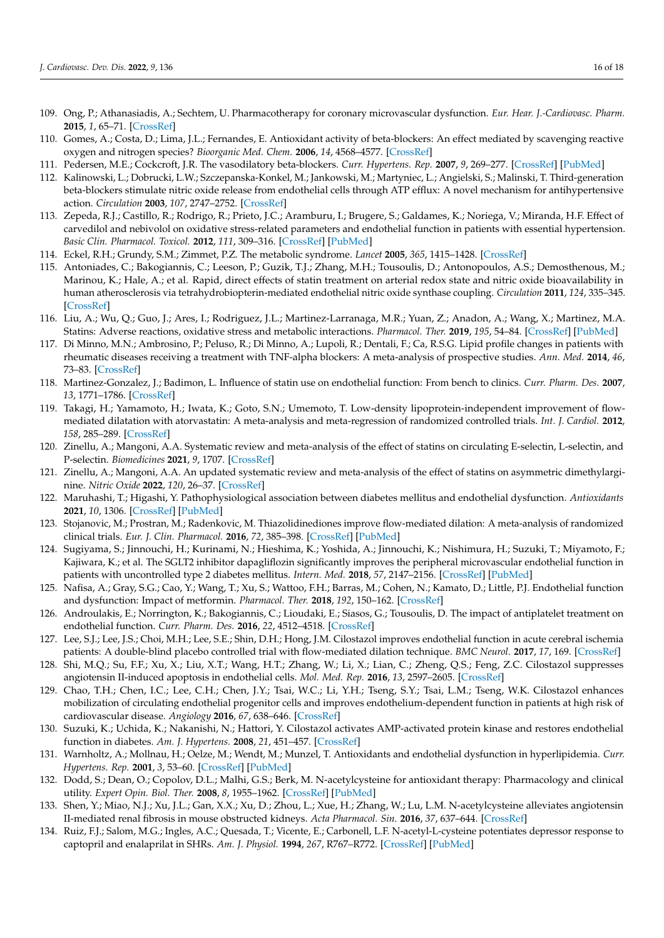- <span id="page-15-0"></span>109. Ong, P.; Athanasiadis, A.; Sechtem, U. Pharmacotherapy for coronary microvascular dysfunction. *Eur. Hear. J.-Cardiovasc. Pharm.* **2015**, *1*, 65–71. [\[CrossRef\]](http://doi.org/10.1093/ehjcvp/pvu020)
- <span id="page-15-1"></span>110. Gomes, A.; Costa, D.; Lima, J.L.; Fernandes, E. Antioxidant activity of beta-blockers: An effect mediated by scavenging reactive oxygen and nitrogen species? *Bioorganic Med. Chem.* **2006**, *14*, 4568–4577. [\[CrossRef\]](http://doi.org/10.1016/j.bmc.2006.02.023)
- <span id="page-15-2"></span>111. Pedersen, M.E.; Cockcroft, J.R. The vasodilatory beta-blockers. *Curr. Hypertens. Rep.* **2007**, *9*, 269–277. [\[CrossRef\]](http://doi.org/10.1007/s11906-007-0050-2) [\[PubMed\]](http://www.ncbi.nlm.nih.gov/pubmed/17686376)
- <span id="page-15-3"></span>112. Kalinowski, L.; Dobrucki, L.W.; Szczepanska-Konkel, M.; Jankowski, M.; Martyniec, L.; Angielski, S.; Malinski, T. Third-generation beta-blockers stimulate nitric oxide release from endothelial cells through ATP efflux: A novel mechanism for antihypertensive action. *Circulation* **2003**, *107*, 2747–2752. [\[CrossRef\]](http://doi.org/10.1161/01.CIR.0000066912.58385.DE)
- <span id="page-15-4"></span>113. Zepeda, R.J.; Castillo, R.; Rodrigo, R.; Prieto, J.C.; Aramburu, I.; Brugere, S.; Galdames, K.; Noriega, V.; Miranda, H.F. Effect of carvedilol and nebivolol on oxidative stress-related parameters and endothelial function in patients with essential hypertension. *Basic Clin. Pharmacol. Toxicol.* **2012**, *111*, 309–316. [\[CrossRef\]](http://doi.org/10.1111/j.1742-7843.2012.00911.x) [\[PubMed\]](http://www.ncbi.nlm.nih.gov/pubmed/22703478)
- <span id="page-15-5"></span>114. Eckel, R.H.; Grundy, S.M.; Zimmet, P.Z. The metabolic syndrome. *Lancet* **2005**, *365*, 1415–1428. [\[CrossRef\]](http://doi.org/10.1016/S0140-6736(05)66378-7)
- <span id="page-15-6"></span>115. Antoniades, C.; Bakogiannis, C.; Leeson, P.; Guzik, T.J.; Zhang, M.H.; Tousoulis, D.; Antonopoulos, A.S.; Demosthenous, M.; Marinou, K.; Hale, A.; et al. Rapid, direct effects of statin treatment on arterial redox state and nitric oxide bioavailability in human atherosclerosis via tetrahydrobiopterin-mediated endothelial nitric oxide synthase coupling. *Circulation* **2011**, *124*, 335–345. [\[CrossRef\]](http://doi.org/10.1161/CIRCULATIONAHA.110.985150)
- <span id="page-15-7"></span>116. Liu, A.; Wu, Q.; Guo, J.; Ares, I.; Rodriguez, J.L.; Martinez-Larranaga, M.R.; Yuan, Z.; Anadon, A.; Wang, X.; Martinez, M.A. Statins: Adverse reactions, oxidative stress and metabolic interactions. *Pharmacol. Ther.* **2019**, *195*, 54–84. [\[CrossRef\]](http://doi.org/10.1016/j.pharmthera.2018.10.004) [\[PubMed\]](http://www.ncbi.nlm.nih.gov/pubmed/30321555)
- <span id="page-15-8"></span>117. Di Minno, M.N.; Ambrosino, P.; Peluso, R.; Di Minno, A.; Lupoli, R.; Dentali, F.; Ca, R.S.G. Lipid profile changes in patients with rheumatic diseases receiving a treatment with TNF-alpha blockers: A meta-analysis of prospective studies. *Ann. Med.* **2014**, *46*, 73–83. [\[CrossRef\]](http://doi.org/10.3109/07853890.2013.874661)
- <span id="page-15-9"></span>118. Martinez-Gonzalez, J.; Badimon, L. Influence of statin use on endothelial function: From bench to clinics. *Curr. Pharm. Des.* **2007**, *13*, 1771–1786. [\[CrossRef\]](http://doi.org/10.2174/138161207780831220)
- <span id="page-15-10"></span>119. Takagi, H.; Yamamoto, H.; Iwata, K.; Goto, S.N.; Umemoto, T. Low-density lipoprotein-independent improvement of flowmediated dilatation with atorvastatin: A meta-analysis and meta-regression of randomized controlled trials. *Int. J. Cardiol.* **2012**, *158*, 285–289. [\[CrossRef\]](http://doi.org/10.1016/j.ijcard.2012.04.054)
- <span id="page-15-11"></span>120. Zinellu, A.; Mangoni, A.A. Systematic review and meta-analysis of the effect of statins on circulating E-selectin, L-selectin, and P-selectin. *Biomedicines* **2021**, *9*, 1707. [\[CrossRef\]](http://doi.org/10.3390/biomedicines9111707)
- <span id="page-15-12"></span>121. Zinellu, A.; Mangoni, A.A. An updated systematic review and meta-analysis of the effect of statins on asymmetric dimethylarginine. *Nitric Oxide* **2022**, *120*, 26–37. [\[CrossRef\]](http://doi.org/10.1016/j.niox.2022.01.001)
- <span id="page-15-13"></span>122. Maruhashi, T.; Higashi, Y. Pathophysiological association between diabetes mellitus and endothelial dysfunction. *Antioxidants* **2021**, *10*, 1306. [\[CrossRef\]](http://doi.org/10.3390/antiox10081306) [\[PubMed\]](http://www.ncbi.nlm.nih.gov/pubmed/34439553)
- <span id="page-15-14"></span>123. Stojanovic, M.; Prostran, M.; Radenkovic, M. Thiazolidinediones improve flow-mediated dilation: A meta-analysis of randomized clinical trials. *Eur. J. Clin. Pharmacol.* **2016**, *72*, 385–398. [\[CrossRef\]](http://doi.org/10.1007/s00228-015-1999-4) [\[PubMed\]](http://www.ncbi.nlm.nih.gov/pubmed/26690770)
- <span id="page-15-15"></span>124. Sugiyama, S.; Jinnouchi, H.; Kurinami, N.; Hieshima, K.; Yoshida, A.; Jinnouchi, K.; Nishimura, H.; Suzuki, T.; Miyamoto, F.; Kajiwara, K.; et al. The SGLT2 inhibitor dapagliflozin significantly improves the peripheral microvascular endothelial function in patients with uncontrolled type 2 diabetes mellitus. *Intern. Med.* **2018**, *57*, 2147–2156. [\[CrossRef\]](http://doi.org/10.2169/internalmedicine.0701-17) [\[PubMed\]](http://www.ncbi.nlm.nih.gov/pubmed/29607968)
- <span id="page-15-16"></span>125. Nafisa, A.; Gray, S.G.; Cao, Y.; Wang, T.; Xu, S.; Wattoo, F.H.; Barras, M.; Cohen, N.; Kamato, D.; Little, P.J. Endothelial function and dysfunction: Impact of metformin. *Pharmacol. Ther.* **2018**, *192*, 150–162. [\[CrossRef\]](http://doi.org/10.1016/j.pharmthera.2018.07.007)
- <span id="page-15-17"></span>126. Androulakis, E.; Norrington, K.; Bakogiannis, C.; Lioudaki, E.; Siasos, G.; Tousoulis, D. The impact of antiplatelet treatment on endothelial function. *Curr. Pharm. Des.* **2016**, *22*, 4512–4518. [\[CrossRef\]](http://doi.org/10.2174/1381612822666160603020003)
- <span id="page-15-18"></span>127. Lee, S.J.; Lee, J.S.; Choi, M.H.; Lee, S.E.; Shin, D.H.; Hong, J.M. Cilostazol improves endothelial function in acute cerebral ischemia patients: A double-blind placebo controlled trial with flow-mediated dilation technique. *BMC Neurol.* **2017**, *17*, 169. [\[CrossRef\]](http://doi.org/10.1186/s12883-017-0950-y)
- <span id="page-15-19"></span>128. Shi, M.Q.; Su, F.F.; Xu, X.; Liu, X.T.; Wang, H.T.; Zhang, W.; Li, X.; Lian, C.; Zheng, Q.S.; Feng, Z.C. Cilostazol suppresses angiotensin II-induced apoptosis in endothelial cells. *Mol. Med. Rep.* **2016**, *13*, 2597–2605. [\[CrossRef\]](http://doi.org/10.3892/mmr.2016.4881)
- <span id="page-15-20"></span>129. Chao, T.H.; Chen, I.C.; Lee, C.H.; Chen, J.Y.; Tsai, W.C.; Li, Y.H.; Tseng, S.Y.; Tsai, L.M.; Tseng, W.K. Cilostazol enhances mobilization of circulating endothelial progenitor cells and improves endothelium-dependent function in patients at high risk of cardiovascular disease. *Angiology* **2016**, *67*, 638–646. [\[CrossRef\]](http://doi.org/10.1177/0003319715606249)
- <span id="page-15-21"></span>130. Suzuki, K.; Uchida, K.; Nakanishi, N.; Hattori, Y. Cilostazol activates AMP-activated protein kinase and restores endothelial function in diabetes. *Am. J. Hypertens.* **2008**, *21*, 451–457. [\[CrossRef\]](http://doi.org/10.1038/ajh.2008.6)
- <span id="page-15-22"></span>131. Warnholtz, A.; Mollnau, H.; Oelze, M.; Wendt, M.; Munzel, T. Antioxidants and endothelial dysfunction in hyperlipidemia. *Curr. Hypertens. Rep.* **2001**, *3*, 53–60. [\[CrossRef\]](http://doi.org/10.1007/s11906-001-0081-z) [\[PubMed\]](http://www.ncbi.nlm.nih.gov/pubmed/11177709)
- <span id="page-15-23"></span>132. Dodd, S.; Dean, O.; Copolov, D.L.; Malhi, G.S.; Berk, M. N-acetylcysteine for antioxidant therapy: Pharmacology and clinical utility. *Expert Opin. Biol. Ther.* **2008**, *8*, 1955–1962. [\[CrossRef\]](http://doi.org/10.1517/14728220802517901) [\[PubMed\]](http://www.ncbi.nlm.nih.gov/pubmed/18990082)
- <span id="page-15-24"></span>133. Shen, Y.; Miao, N.J.; Xu, J.L.; Gan, X.X.; Xu, D.; Zhou, L.; Xue, H.; Zhang, W.; Lu, L.M. N-acetylcysteine alleviates angiotensin II-mediated renal fibrosis in mouse obstructed kidneys. *Acta Pharmacol. Sin.* **2016**, *37*, 637–644. [\[CrossRef\]](http://doi.org/10.1038/aps.2016.12)
- <span id="page-15-25"></span>134. Ruiz, F.J.; Salom, M.G.; Ingles, A.C.; Quesada, T.; Vicente, E.; Carbonell, L.F. N-acetyl-L-cysteine potentiates depressor response to captopril and enalaprilat in SHRs. *Am. J. Physiol.* **1994**, *267*, R767–R772. [\[CrossRef\]](http://doi.org/10.1152/ajpregu.1994.267.3.R767) [\[PubMed\]](http://www.ncbi.nlm.nih.gov/pubmed/8092321)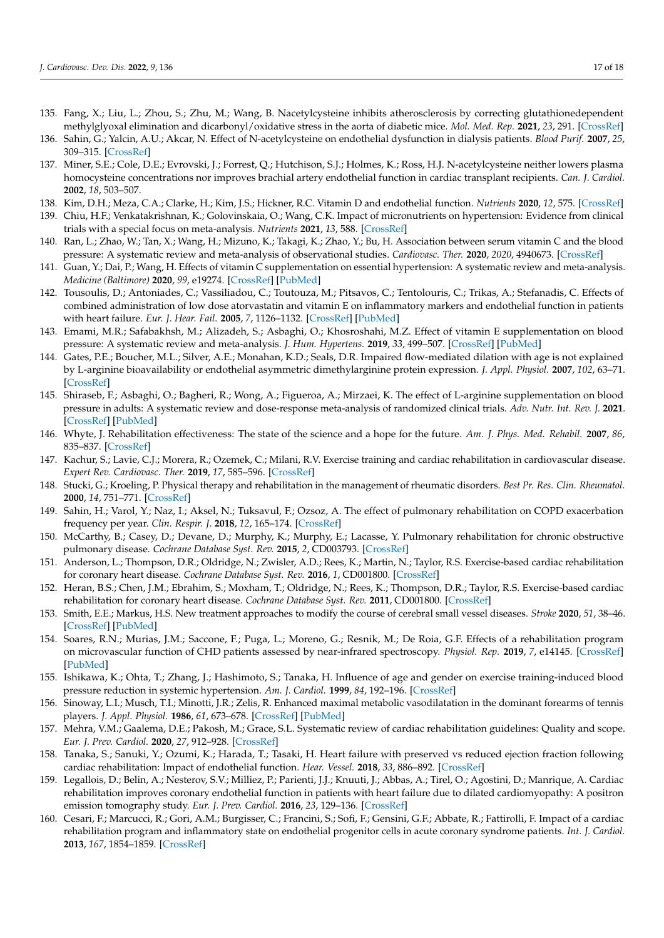- <span id="page-16-0"></span>135. Fang, X.; Liu, L.; Zhou, S.; Zhu, M.; Wang, B. Nacetylcysteine inhibits atherosclerosis by correcting glutathionedependent methylglyoxal elimination and dicarbonyl/oxidative stress in the aorta of diabetic mice. *Mol. Med. Rep.* **2021**, *23*, 291. [\[CrossRef\]](http://doi.org/10.3892/mmr.2021.11840)
- <span id="page-16-1"></span>136. Sahin, G.; Yalcin, A.U.; Akcar, N. Effect of N-acetylcysteine on endothelial dysfunction in dialysis patients. *Blood Purif.* **2007**, *25*, 309–315. [\[CrossRef\]](http://doi.org/10.1159/000106103)
- <span id="page-16-2"></span>137. Miner, S.E.; Cole, D.E.; Evrovski, J.; Forrest, Q.; Hutchison, S.J.; Holmes, K.; Ross, H.J. N-acetylcysteine neither lowers plasma homocysteine concentrations nor improves brachial artery endothelial function in cardiac transplant recipients. *Can. J. Cardiol.* **2002**, *18*, 503–507.
- <span id="page-16-3"></span>138. Kim, D.H.; Meza, C.A.; Clarke, H.; Kim, J.S.; Hickner, R.C. Vitamin D and endothelial function. *Nutrients* **2020**, *12*, 575. [\[CrossRef\]](http://doi.org/10.3390/nu12020575)
- <span id="page-16-4"></span>139. Chiu, H.F.; Venkatakrishnan, K.; Golovinskaia, O.; Wang, C.K. Impact of micronutrients on hypertension: Evidence from clinical trials with a special focus on meta-analysis. *Nutrients* **2021**, *13*, 588. [\[CrossRef\]](http://doi.org/10.3390/nu13020588)
- <span id="page-16-5"></span>140. Ran, L.; Zhao, W.; Tan, X.; Wang, H.; Mizuno, K.; Takagi, K.; Zhao, Y.; Bu, H. Association between serum vitamin C and the blood pressure: A systematic review and meta-analysis of observational studies. *Cardiovasc. Ther.* **2020**, *2020*, 4940673. [\[CrossRef\]](http://doi.org/10.1155/2020/4940673)
- <span id="page-16-6"></span>141. Guan, Y.; Dai, P.; Wang, H. Effects of vitamin C supplementation on essential hypertension: A systematic review and meta-analysis. *Medicine (Baltimore)* **2020**, *99*, e19274. [\[CrossRef\]](http://doi.org/10.1097/MD.0000000000019274) [\[PubMed\]](http://www.ncbi.nlm.nih.gov/pubmed/32080138)
- <span id="page-16-7"></span>142. Tousoulis, D.; Antoniades, C.; Vassiliadou, C.; Toutouza, M.; Pitsavos, C.; Tentolouris, C.; Trikas, A.; Stefanadis, C. Effects of combined administration of low dose atorvastatin and vitamin E on inflammatory markers and endothelial function in patients with heart failure. *Eur. J. Hear. Fail.* **2005**, *7*, 1126–1132. [\[CrossRef\]](http://doi.org/10.1016/j.ejheart.2005.03.007) [\[PubMed\]](http://www.ncbi.nlm.nih.gov/pubmed/16051518)
- <span id="page-16-8"></span>143. Emami, M.R.; Safabakhsh, M.; Alizadeh, S.; Asbaghi, O.; Khosroshahi, M.Z. Effect of vitamin E supplementation on blood pressure: A systematic review and meta-analysis. *J. Hum. Hypertens.* **2019**, *33*, 499–507. [\[CrossRef\]](http://doi.org/10.1038/s41371-019-0192-0) [\[PubMed\]](http://www.ncbi.nlm.nih.gov/pubmed/30846828)
- <span id="page-16-9"></span>144. Gates, P.E.; Boucher, M.L.; Silver, A.E.; Monahan, K.D.; Seals, D.R. Impaired flow-mediated dilation with age is not explained by L-arginine bioavailability or endothelial asymmetric dimethylarginine protein expression. *J. Appl. Physiol.* **2007**, *102*, 63–71. [\[CrossRef\]](http://doi.org/10.1152/japplphysiol.00660.2006)
- <span id="page-16-10"></span>145. Shiraseb, F.; Asbaghi, O.; Bagheri, R.; Wong, A.; Figueroa, A.; Mirzaei, K. The effect of L-arginine supplementation on blood pressure in adults: A systematic review and dose-response meta-analysis of randomized clinical trials. *Adv. Nutr. Int. Rev. J.* **2021**. [\[CrossRef\]](http://doi.org/10.1093/advances/nmab155) [\[PubMed\]](http://www.ncbi.nlm.nih.gov/pubmed/34967840)
- <span id="page-16-11"></span>146. Whyte, J. Rehabilitation effectiveness: The state of the science and a hope for the future. *Am. J. Phys. Med. Rehabil.* **2007**, *86*, 835–837. [\[CrossRef\]](http://doi.org/10.1097/PHM.0b013e3181570b74)
- 147. Kachur, S.; Lavie, C.J.; Morera, R.; Ozemek, C.; Milani, R.V. Exercise training and cardiac rehabilitation in cardiovascular disease. *Expert Rev. Cardiovasc. Ther.* **2019**, *17*, 585–596. [\[CrossRef\]](http://doi.org/10.1080/14779072.2019.1651198)
- <span id="page-16-12"></span>148. Stucki, G.; Kroeling, P. Physical therapy and rehabilitation in the management of rheumatic disorders. *Best Pr. Res. Clin. Rheumatol.* **2000**, *14*, 751–771. [\[CrossRef\]](http://doi.org/10.1053/berh.2000.0111)
- <span id="page-16-13"></span>149. Sahin, H.; Varol, Y.; Naz, I.; Aksel, N.; Tuksavul, F.; Ozsoz, A. The effect of pulmonary rehabilitation on COPD exacerbation frequency per year. *Clin. Respir. J.* **2018**, *12*, 165–174. [\[CrossRef\]](http://doi.org/10.1111/crj.12507)
- <span id="page-16-14"></span>150. McCarthy, B.; Casey, D.; Devane, D.; Murphy, K.; Murphy, E.; Lacasse, Y. Pulmonary rehabilitation for chronic obstructive pulmonary disease. *Cochrane Database Syst. Rev.* **2015**, *2*, CD003793. [\[CrossRef\]](http://doi.org/10.1002/14651858.CD003793.pub3)
- <span id="page-16-15"></span>151. Anderson, L.; Thompson, D.R.; Oldridge, N.; Zwisler, A.D.; Rees, K.; Martin, N.; Taylor, R.S. Exercise-based cardiac rehabilitation for coronary heart disease. *Cochrane Database Syst. Rev.* **2016**, *1*, CD001800. [\[CrossRef\]](http://doi.org/10.1002/14651858.CD001800.pub3)
- <span id="page-16-16"></span>152. Heran, B.S.; Chen, J.M.; Ebrahim, S.; Moxham, T.; Oldridge, N.; Rees, K.; Thompson, D.R.; Taylor, R.S. Exercise-based cardiac rehabilitation for coronary heart disease. *Cochrane Database Syst. Rev.* **2011**, CD001800. [\[CrossRef\]](http://doi.org/10.1002/14651858.CD001800.pub2)
- <span id="page-16-17"></span>153. Smith, E.E.; Markus, H.S. New treatment approaches to modify the course of cerebral small vessel diseases. *Stroke* **2020**, *51*, 38–46. [\[CrossRef\]](http://doi.org/10.1161/STROKEAHA.119.024150) [\[PubMed\]](http://www.ncbi.nlm.nih.gov/pubmed/31752610)
- <span id="page-16-18"></span>154. Soares, R.N.; Murias, J.M.; Saccone, F.; Puga, L.; Moreno, G.; Resnik, M.; De Roia, G.F. Effects of a rehabilitation program on microvascular function of CHD patients assessed by near-infrared spectroscopy. *Physiol. Rep.* **2019**, *7*, e14145. [\[CrossRef\]](http://doi.org/10.14814/phy2.14145) [\[PubMed\]](http://www.ncbi.nlm.nih.gov/pubmed/31190469)
- <span id="page-16-19"></span>155. Ishikawa, K.; Ohta, T.; Zhang, J.; Hashimoto, S.; Tanaka, H. Influence of age and gender on exercise training-induced blood pressure reduction in systemic hypertension. *Am. J. Cardiol.* **1999**, *84*, 192–196. [\[CrossRef\]](http://doi.org/10.1016/S0002-9149(99)00233-7)
- <span id="page-16-20"></span>156. Sinoway, L.I.; Musch, T.I.; Minotti, J.R.; Zelis, R. Enhanced maximal metabolic vasodilatation in the dominant forearms of tennis players. *J. Appl. Physiol.* **1986**, *61*, 673–678. [\[CrossRef\]](http://doi.org/10.1152/jappl.1986.61.2.673) [\[PubMed\]](http://www.ncbi.nlm.nih.gov/pubmed/3745059)
- <span id="page-16-21"></span>157. Mehra, V.M.; Gaalema, D.E.; Pakosh, M.; Grace, S.L. Systematic review of cardiac rehabilitation guidelines: Quality and scope. *Eur. J. Prev. Cardiol.* **2020**, *27*, 912–928. [\[CrossRef\]](http://doi.org/10.1177/2047487319878958)
- <span id="page-16-22"></span>158. Tanaka, S.; Sanuki, Y.; Ozumi, K.; Harada, T.; Tasaki, H. Heart failure with preserved vs reduced ejection fraction following cardiac rehabilitation: Impact of endothelial function. *Hear. Vessel.* **2018**, *33*, 886–892. [\[CrossRef\]](http://doi.org/10.1007/s00380-018-1128-2)
- 159. Legallois, D.; Belin, A.; Nesterov, S.V.; Milliez, P.; Parienti, J.J.; Knuuti, J.; Abbas, A.; Tirel, O.; Agostini, D.; Manrique, A. Cardiac rehabilitation improves coronary endothelial function in patients with heart failure due to dilated cardiomyopathy: A positron emission tomography study. *Eur. J. Prev. Cardiol.* **2016**, *23*, 129–136. [\[CrossRef\]](http://doi.org/10.1177/2047487314565739)
- 160. Cesari, F.; Marcucci, R.; Gori, A.M.; Burgisser, C.; Francini, S.; Sofi, F.; Gensini, G.F.; Abbate, R.; Fattirolli, F. Impact of a cardiac rehabilitation program and inflammatory state on endothelial progenitor cells in acute coronary syndrome patients. *Int. J. Cardiol.* **2013**, *167*, 1854–1859. [\[CrossRef\]](http://doi.org/10.1016/j.ijcard.2012.04.157)